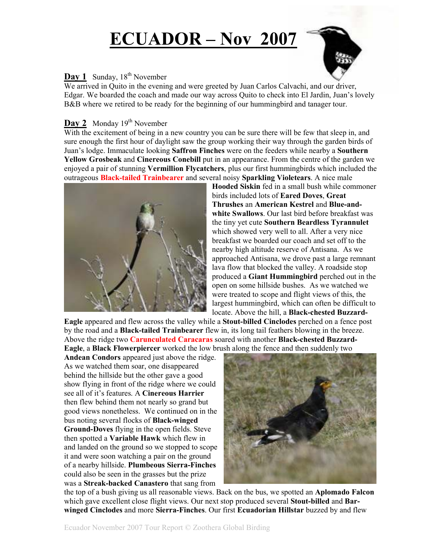# **ECUADOR – Nov 2007**



# **Day 1** Sunday, 18<sup>th</sup> November

We arrived in Quito in the evening and were greeted by Juan Carlos Calvachi, and our driver, Edgar. We boarded the coach and made our way across Quito to check into El Jardin, Juan's lovely B&B where we retired to be ready for the beginning of our hummingbird and tanager tour.

## **Day 2** Monday 19<sup>th</sup> November

With the excitement of being in a new country you can be sure there will be few that sleep in, and sure enough the first hour of daylight saw the group working their way through the garden birds of Juan's lodge. Immaculate looking **Saffron Finches** were on the feeders while nearby a **Southern Yellow Grosbeak** and **Cinereous Conebill** put in an appearance. From the centre of the garden we enjoyed a pair of stunning **Vermillion Flycatchers**, plus our first hummingbirds which included the outrageous **Black-tailed Trainbearer** and several noisy **Sparkling Violetears**. A nice male



**Hooded Siskin** fed in a small bush while commoner birds included lots of **Eared Doves**, **Great Thrushes** an **American Kestrel** and **Blue-andwhite Swallows**. Our last bird before breakfast was the tiny yet cute **Southern Beardless Tyrannulet** which showed very well to all. After a very nice breakfast we boarded our coach and set off to the nearby high altitude reserve of Antisana. As we approached Antisana, we drove past a large remnant lava flow that blocked the valley. A roadside stop produced a **Giant Hummingbird** perched out in the open on some hillside bushes. As we watched we were treated to scope and flight views of this, the largest hummingbird, which can often be difficult to locate. Above the hill, a **Black-chested Buzzard-**

**Eagle** appeared and flew across the valley while a **Stout-billed Cinclodes** perched on a fence post by the road and a **Black-tailed Trainbearer** flew in, its long tail feathers blowing in the breeze. Above the ridge two **Carunculated Caracaras** soared with another **Black-chested Buzzard-Eagle**, a **Black Flowerpiercer** worked the low brush along the fence and then suddenly two

**Andean Condors** appeared just above the ridge. As we watched them soar, one disappeared behind the hillside but the other gave a good show flying in front of the ridge where we could see all of it's features. A **Cinereous Harrier** then flew behind them not nearly so grand but good views nonetheless. We continued on in the bus noting several flocks of **Black-winged Ground-Doves** flying in the open fields. Steve then spotted a **Variable Hawk** which flew in and landed on the ground so we stopped to scope it and were soon watching a pair on the ground of a nearby hillside. **Plumbeous Sierra-Finches** could also be seen in the grasses but the prize was a **Streak-backed Canastero** that sang from



the top of a bush giving us all reasonable views. Back on the bus, we spotted an **Aplomado Falcon** which gave excellent close flight views. Our next stop produced several **Stout-billed** and **Barwinged Cinclodes** and more **Sierra-Finches**. Our first **Ecuadorian Hillstar** buzzed by and flew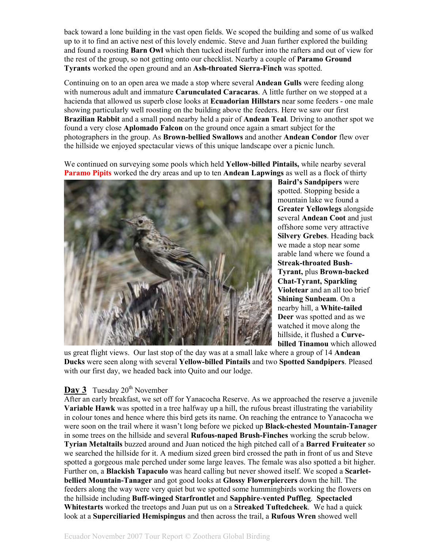back toward a lone building in the vast open fields. We scoped the building and some of us walked up to it to find an active nest of this lovely endemic. Steve and Juan further explored the building and found a roosting **Barn Owl** which then tucked itself further into the rafters and out of view for the rest of the group, so not getting onto our checklist. Nearby a couple of **Paramo Ground Tyrants** worked the open ground and an **Ash-throated Sierra-Finch** was spotted.

Continuing on to an open area we made a stop where several **Andean Gulls** were feeding along with numerous adult and immature **Carunculated Caracaras**. A little further on we stopped at a hacienda that allowed us superb close looks at **Ecuadorian Hillstars** near some feeders - one male showing particularly well roosting on the building above the feeders. Here we saw our first **Brazilian Rabbit** and a small pond nearby held a pair of **Andean Teal**. Driving to another spot we found a very close **Aplomado Falcon** on the ground once again a smart subject for the photographers in the group. As **Brown-bellied Swallows** and another **Andean Condor** flew over the hillside we enjoyed spectacular views of this unique landscape over a picnic lunch.

We continued on surveying some pools which held **Yellow-billed Pintails,** while nearby several **Paramo Pipits** worked the dry areas and up to ten **Andean Lapwings** as well as a flock of thirty



**Baird's Sandpipers** were spotted. Stopping beside a mountain lake we found a **Greater Yellowlegs** alongside several **Andean Coot** and just offshore some very attractive **Silvery Grebes**. Heading back we made a stop near some arable land where we found a **Streak-throated Bush-Tyrant,** plus **Brown-backed Chat-Tyrant, Sparkling Violetear** and an all too brief **Shining Sunbeam**. On a nearby hill, a **White-tailed Deer** was spotted and as we watched it move along the hillside, it flushed a **Curvebilled Tinamou** which allowed

us great flight views. Our last stop of the day was at a small lake where a group of 14 **Andean Ducks** were seen along with several **Yellow-billed Pintails** and two **Spotted Sandpipers**. Pleased with our first day, we headed back into Quito and our lodge.

#### **Day 3** Tuesday 20<sup>th</sup> November

After an early breakfast, we set off for Yanacocha Reserve. As we approached the reserve a juvenile **Variable Hawk** was spotted in a tree halfway up a hill, the rufous breast illustrating the variability in colour tones and hence where this bird gets its name. On reaching the entrance to Yanacocha we were soon on the trail where it wasn't long before we picked up **Black-chested Mountain-Tanager** in some trees on the hillside and several **Rufous-naped Brush-Finches** working the scrub below. **Tyrian Metaltails** buzzed around and Juan noticed the high pitched call of a **Barred Fruiteater** so we searched the hillside for it. A medium sized green bird crossed the path in front of us and Steve spotted a gorgeous male perched under some large leaves. The female was also spotted a bit higher. Further on, a **Blackish Tapaculo** was heard calling but never showed itself. We scoped a **Scarletbellied Mountain-Tanager** and got good looks at **Glossy Flowerpiercers** down the hill. The feeders along the way were very quiet but we spotted some hummingbirds working the flowers on the hillside including **Buff-winged Starfrontlet** and **Sapphire**-**vented Puffleg**. **Spectacled Whitestarts** worked the treetops and Juan put us on a **Streaked Tuftedcheek**. We had a quick look at a **Superciliaried Hemispingus** and then across the trail, a **Rufous Wren** showed well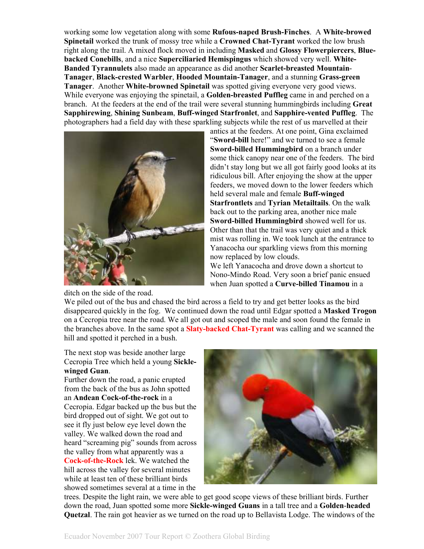working some low vegetation along with some **Rufous-naped Brush-Finches**. A **White-browed Spinetail** worked the trunk of mossy tree while a **Crowned Chat-Tyrant** worked the low brush right along the trail. A mixed flock moved in including **Masked** and **Glossy Flowerpiercers**, **Bluebacked Conebills**, and a nice **Superciliaried Hemispingus** which showed very well. **White-Banded Tyrannulets** also made an appearance as did another **Scarlet-breasted Mountain**-**Tanager**, **Black-crested Warbler**, **Hooded Mountain-Tanager**, and a stunning **Grass-green Tanager**. Another **White-browned Spinetail** was spotted giving everyone very good views. While everyone was enjoying the spinetail, a **Golden-breasted Puffleg** came in and perched on a branch. At the feeders at the end of the trail were several stunning hummingbirds including **Great Sapphirewing**, **Shining Sunbeam**, **Buff-winged Starfronlet**, and **Sapphire-vented Puffleg**. The photographers had a field day with these sparkling subjects while the rest of us marvelled at their



ditch on the side of the road.

antics at the feeders. At one point, Gina exclaimed "**Sword-bill** here!" and we turned to see a female **Sword-billed Hummingbird** on a branch under some thick canopy near one of the feeders. The bird didn't stay long but we all got fairly good looks at its ridiculous bill. After enjoying the show at the upper feeders, we moved down to the lower feeders which held several male and female **Buff-winged Starfrontlets** and **Tyrian Metailtails**. On the walk back out to the parking area, another nice male **Sword-billed Hummingbird** showed well for us. Other than that the trail was very quiet and a thick mist was rolling in. We took lunch at the entrance to Yanacocha our sparkling views from this morning now replaced by low clouds. We left Yanacocha and drove down a shortcut to

Nono-Mindo Road. Very soon a brief panic ensued when Juan spotted a **Curve-billed Tinamou** in a

We piled out of the bus and chased the bird across a field to try and get better looks as the bird disappeared quickly in the fog. We continued down the road until Edgar spotted a **Masked Trogon**  on a Cecropia tree near the road. We all got out and scoped the male and soon found the female in the branches above. In the same spot a **Slaty-backed Chat-Tyrant** was calling and we scanned the hill and spotted it perched in a bush.

The next stop was beside another large Cecropia Tree which held a young **Sicklewinged Guan**.

Further down the road, a panic erupted from the back of the bus as John spotted an **Andean Cock-of-the-rock** in a Cecropia. Edgar backed up the bus but the bird dropped out of sight. We got out to see it fly just below eye level down the valley. We walked down the road and heard "screaming pig" sounds from across the valley from what apparently was a **Cock-of-the-Rock** lek. We watched the hill across the valley for several minutes while at least ten of these brilliant birds showed sometimes several at a time in the



trees. Despite the light rain, we were able to get good scope views of these brilliant birds. Further down the road, Juan spotted some more **Sickle-winged Guans** in a tall tree and a **Golden**-**headed Quetzal**. The rain got heavier as we turned on the road up to Bellavista Lodge. The windows of the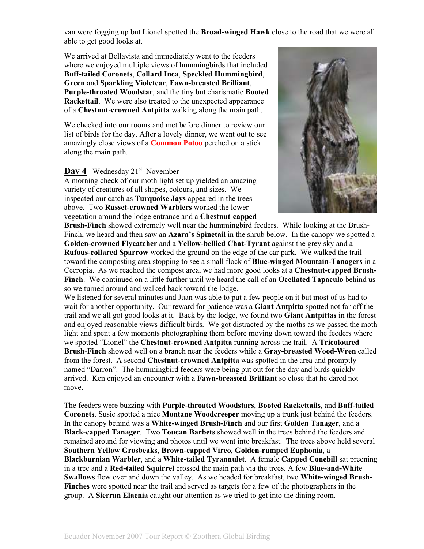van were fogging up but Lionel spotted the **Broad-winged Hawk** close to the road that we were all able to get good looks at.

We arrived at Bellavista and immediately went to the feeders where we enjoyed multiple views of hummingbirds that included **Buff-tailed Coronets**, **Collard Inca**, **Speckled Hummingbird**, **Green** and **Sparkling Violetear**, **Fawn-breasted Brilliant**, **Purple-throated Woodstar**, and the tiny but charismatic **Booted Rackettail**. We were also treated to the unexpected appearance of a **Chestnut**-**crowned Antpitta** walking along the main path.

We checked into our rooms and met before dinner to review our list of birds for the day. After a lovely dinner, we went out to see amazingly close views of a **Common Potoo** perched on a stick along the main path.

#### **Day 4** Wednesday 21<sup>st</sup> November

A morning check of our moth light set up yielded an amazing variety of creatures of all shapes, colours, and sizes. We inspected our catch as **Turquoise Jays** appeared in the trees above. Two **Russet-crowned Warblers** worked the lower vegetation around the lodge entrance and a **Chestnut**-**capped** 



**Brush-Finch** showed extremely well near the hummingbird feeders. While looking at the Brush-Finch, we heard and then saw an **Azara's Spinetail** in the shrub below. In the canopy we spotted a **Golden-crowned Flycatcher** and a **Yellow-bellied Chat-Tyrant** against the grey sky and a **Rufous-collared Sparrow** worked the ground on the edge of the car park. We walked the trail toward the composting area stopping to see a small flock of **Blue-winged Mountain-Tanagers** in a Cecropia. As we reached the compost area, we had more good looks at a **Chestnut-capped Brush-Finch**. We continued on a little further until we heard the call of an **Ocellated Tapaculo** behind us so we turned around and walked back toward the lodge.

We listened for several minutes and Juan was able to put a few people on it but most of us had to wait for another opportunity. Our reward for patience was a **Giant Antpitta** spotted not far off the trail and we all got good looks at it. Back by the lodge, we found two **Giant Antpittas** in the forest and enjoyed reasonable views difficult birds. We got distracted by the moths as we passed the moth light and spent a few moments photographing them before moving down toward the feeders where we spotted "Lionel" the **Chestnut-crowned Antpitta** running across the trail. A **Tricoloured Brush**-**Finch** showed well on a branch near the feeders while a **Gray-breasted Wood-Wren** called from the forest. A second **Chestnut-crowned Antpitta** was spotted in the area and promptly named "Darron". The hummingbird feeders were being put out for the day and birds quickly arrived. Ken enjoyed an encounter with a **Fawn-breasted Brilliant** so close that he dared not move.

The feeders were buzzing with **Purple-throated Woodstars**, **Booted Rackettails**, and **Buff-tailed Coronets**. Susie spotted a nice **Montane Woodcreeper** moving up a trunk just behind the feeders. In the canopy behind was a **White-winged Brush-Finch** and our first **Golden Tanager**, and a **Black**-**capped Tanager**. Two **Toucan Barbets** showed well in the trees behind the feeders and remained around for viewing and photos until we went into breakfast. The trees above held several **Southern Yellow Grosbeaks**, **Brown-capped Vireo**, **Golden-rumped Euphonia**, a **Blackburnian Warbler**, and a **White-tailed Tyrannulet**. A female **Capped Conebill** sat preening in a tree and a **Red-tailed Squirrel** crossed the main path via the trees. A few **Blue-and-White Swallows** flew over and down the valley. As we headed for breakfast, two **White-winged Brush-Finches** were spotted near the trail and served as targets for a few of the photographers in the group. A **Sierran Elaenia** caught our attention as we tried to get into the dining room.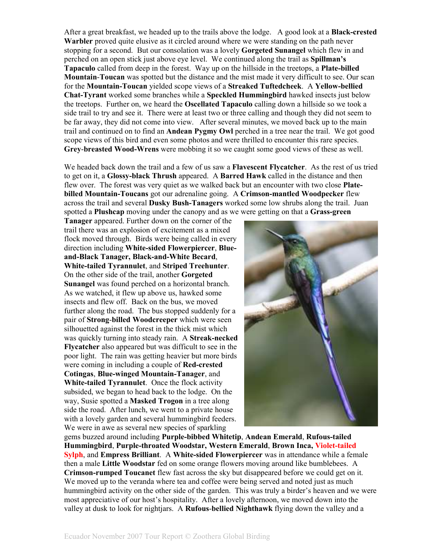After a great breakfast, we headed up to the trails above the lodge. A good look at a **Black-crested Warbler** proved quite elusive as it circled around where we were standing on the path never stopping for a second. But our consolation was a lovely **Gorgeted Sunangel** which flew in and perched on an open stick just above eye level. We continued along the trail as **Spillman's Tapaculo** called from deep in the forest. Way up on the hillside in the treetops, a **Plate-billed Mountain**-**Toucan** was spotted but the distance and the mist made it very difficult to see. Our scan for the **Mountain-Toucan** yielded scope views of a **Streaked Tuftedcheek**. A **Yellow-bellied Chat-Tyrant** worked some branches while a **Speckled Hummingbird** hawked insects just below the treetops. Further on, we heard the **Oscellated Tapaculo** calling down a hillside so we took a side trail to try and see it. There were at least two or three calling and though they did not seem to be far away, they did not come into view. After several minutes, we moved back up to the main trail and continued on to find an **Andean Pygmy Owl** perched in a tree near the trail. We got good scope views of this bird and even some photos and were thrilled to encounter this rare species. **Grey**-**breasted Wood-Wrens** were mobbing it so we caught some good views of these as well.

We headed back down the trail and a few of us saw a **Flavescent Flycatcher**. As the rest of us tried to get on it, a **Glossy-black Thrush** appeared. A **Barred Hawk** called in the distance and then flew over. The forest was very quiet as we walked back but an encounter with two close **Platebilled Mountain-Toucans** got our adrenaline going. A **Crimson-mantled Woodpecker** flew across the trail and several **Dusky Bush-Tanagers** worked some low shrubs along the trail. Juan spotted a **Plushcap** moving under the canopy and as we were getting on that a **Grass-green** 

**Tanager** appeared. Further down on the corner of the trail there was an explosion of excitement as a mixed flock moved through. Birds were being called in every direction including **White-sided Flowerpiercer**, **Blueand-Black Tanager, Black-and-White Becard**, **White-tailed Tyrannulet**, and **Striped Treehunter**. On the other side of the trail, another **Gorgeted Sunangel** was found perched on a horizontal branch. As we watched, it flew up above us, hawked some insects and flew off. Back on the bus, we moved further along the road. The bus stopped suddenly for a pair of **Strong**-**billed Woodcreeper** which were seen silhouetted against the forest in the thick mist which was quickly turning into steady rain. A **Streak-necked Flycatcher** also appeared but was difficult to see in the poor light. The rain was getting heavier but more birds were coming in including a couple of **Red-crested Cotingas**, **Blue-winged Mountain-Tanager**, and **White-tailed Tyrannulet**. Once the flock activity subsided, we began to head back to the lodge. On the way, Susie spotted a **Masked Trogon** in a tree along side the road. After lunch, we went to a private house with a lovely garden and several hummingbird feeders. We were in awe as several new species of sparkling



gems buzzed around including **Purple-bibbed Whitetip**, **Andean Emerald**, **Rufous-tailed Hummingbird**, **Purple-throated Woodstar, Western Emerald**, **Brown Inca, Violet-tailed Sylph**, and **Empress Brilliant**. A **White-sided Flowerpiercer** was in attendance while a female then a male **Little Woodstar** fed on some orange flowers moving around like bumblebees. A **Crimson-rumped Toucanet** flew fast across the sky but disappeared before we could get on it. We moved up to the veranda where tea and coffee were being served and noted just as much hummingbird activity on the other side of the garden. This was truly a birder's heaven and we were most appreciative of our host's hospitality. After a lovely afternoon, we moved down into the valley at dusk to look for nightjars. A **Rufous**-**bellied Nighthawk** flying down the valley and a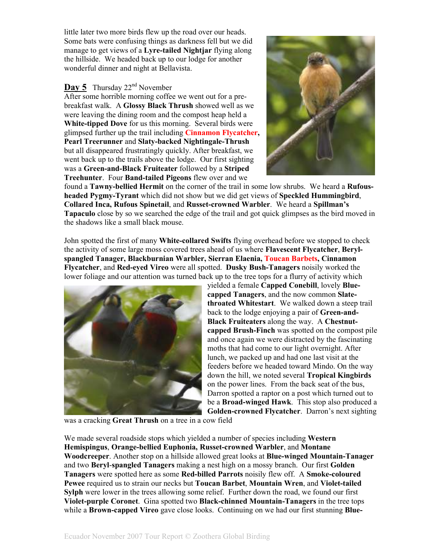little later two more birds flew up the road over our heads. Some bats were confusing things as darkness fell but we did manage to get views of a **Lyre-tailed Nightjar** flying along the hillside. We headed back up to our lodge for another wonderful dinner and night at Bellavista.

#### **Day 5** Thursday 22<sup>nd</sup> November

After some horrible morning coffee we went out for a prebreakfast walk. A **Glossy Black Thrush** showed well as we were leaving the dining room and the compost heap held a **White-tipped Dove** for us this morning. Several birds were glimpsed further up the trail including **Cinnamon Flycatcher, Pearl Treerunner** and **Slaty-backed Nightingale-Thrush** but all disappeared frustratingly quickly. After breakfast, we went back up to the trails above the lodge. Our first sighting was a **Green-and-Black Fruiteater** followed by a **Striped Treehunter**. Four **Band-tailed Pigeons** flew over and we



found a **Tawny-bellied Hermit** on the corner of the trail in some low shrubs. We heard a **Rufousheaded Pygmy-Tyrant** which did not show but we did get views of **Speckled Hummingbird**, **Collared Inca, Rufous Spinetail**, and **Russet-crowned Warbler**. We heard a **Spillman's Tapaculo** close by so we searched the edge of the trail and got quick glimpses as the bird moved in the shadows like a small black mouse.

John spotted the first of many **White-collared Swifts** flying overhead before we stopped to check the activity of some large moss covered trees ahead of us where **Flavescent Flycatcher**, **Berylspangled Tanager, Blackburnian Warbler, Sierran Elaenia, Toucan Barbets, Cinnamon Flycatcher**, and **Red-eyed Vireo** were all spotted. **Dusky Bush-Tanagers** noisily worked the lower foliage and our attention was turned back up to the tree tops for a flurry of activity which



yielded a female **Capped Conebill**, lovely **Bluecapped Tanagers**, and the now common **Slatethroated Whitestart**. We walked down a steep trail back to the lodge enjoying a pair of **Green-and-Black Fruiteaters** along the way. A **Chestnutcapped Brush-Finch** was spotted on the compost pile and once again we were distracted by the fascinating moths that had come to our light overnight. After lunch, we packed up and had one last visit at the feeders before we headed toward Mindo. On the way down the hill, we noted several **Tropical Kingbirds** on the power lines. From the back seat of the bus, Darron spotted a raptor on a post which turned out to be a **Broad-winged Hawk**. This stop also produced a **Golden-crowned Flycatcher**. Darron's next sighting

was a cracking **Great Thrush** on a tree in a cow field

We made several roadside stops which yielded a number of species including **Western Hemispingus**, **Orange-bellied Euphonia, Russet-crowned Warbler**, and **Montane Woodcreeper**. Another stop on a hillside allowed great looks at **Blue-winged Mountain-Tanager** and two **Beryl**-**spangled Tanagers** making a nest high on a mossy branch. Our first **Golden Tanagers** were spotted here as some **Red-billed Parrots** noisily flew off. A **Smoke-coloured Pewee** required us to strain our necks but **Toucan Barbet**, **Mountain Wren**, and **Violet-tailed Sylph** were lower in the trees allowing some relief. Further down the road, we found our first **Violet-purple Coronet**. Gina spotted two **Black-chinned Mountain-Tanagers** in the tree tops while a **Brown-capped Vireo** gave close looks. Continuing on we had our first stunning **Blue-**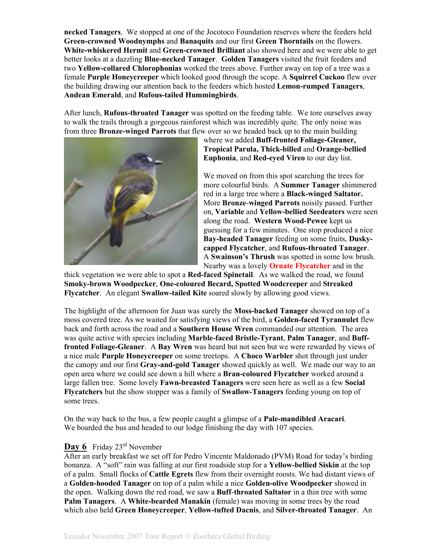**necked Tanagers**. We stopped at one of the Jocotoco Foundation reserves where the feeders held **Green-crowned Woodnymphs** and **Banaquits** and our first **Green Thorntails** on the flowers. **White-whiskered Hermit** and **Green-crowned Brilliant** also showed here and we were able to get better looks at a dazzling **Blue-necked Tanager**. **Golden Tanagers** visited the fruit feeders and two **Yellow-collared Chlorophonias** worked the trees above. Further away on top of a tree was a female **Purple Honeycreeper** which looked good through the scope. A **Squirrel Cuckoo** flew over the building drawing our attention back to the feeders which hosted **Lemon-rumped Tanagers**, **Andean Emerald**, and **Rufous-tailed Hummingbirds**.

After lunch, **Rufous-throated Tanager** was spotted on the feeding table. We tore ourselves away to walk the trails through a gorgeous rainforest which was incredibly quite. The only noise was from three **Bronze-winged Parrots** that flew over so we headed back up to the main building



where we added **Buff-fronted Foliage-Gleaner, Tropical Parula, Thick-billed** and **Orange-bellied Euphonia**, and **Red-eyed Vireo** to our day list.

We moved on from this spot searching the trees for more colourful birds. A **Summer Tanager** shimmered red in a large tree where a **Black-winged Saltator.** More **Bronze**-**winged Parrots** noisily passed. Further on, **Variable** and **Yellow-bellied Seedeaters** were seen along the road. **Western Wood-Pewee** kept us guessing for a few minutes. One stop produced a nice **Bay-headed Tanager** feeding on some fruits, **Duskycapped Flycatcher**, and **Rufous-throated Tanager**. A **Swainson's Thrush** was spotted in some low brush. Nearby was a lovely **Ornate Flycatcher** and in the

thick vegetation we were able to spot a **Red-faced Spinetail**. As we walked the road, we found **Smoky-brown Woodpecker**, **One-coloured Becard, Spotted Woodcreeper** and **Streaked Flycatcher**. An elegant **Swallow-tailed Kite** soared slowly by allowing good views.

The highlight of the afternoon for Juan was surely the **Moss-backed Tanager** showed on top of a moss covered tree. As we waited for satisfying views of the bird, a **Golden-faced Tyrannulet** flew back and forth across the road and a **Southern House Wren** commanded our attention. The area was quite active with species including **Marble-faced Bristle-Tyrant**, **Palm Tanager**, and **Bufffronted Foliage-Gleaner**. A **Bay Wren** was heard but not seen but we were rewarded by views of a nice male **Purple Honeycreeper** on some treetops. A **Choco Warbler** shot through just under the canopy and our first **Gray-and-gold Tanager** showed quickly as well. We made our way to an open area where we could see down a hill where a **Bran-coloured Flycatcher** worked around a large fallen tree. Some lovely **Fawn-breasted Tanagers** were seen here as well as a few **Social Flycatchers** but the show stopper was a family of **Swallow-Tanagers** feeding young on top of some trees.

On the way back to the bus, a few people caught a glimpse of a **Pale-mandibled Aracari**. We boarded the bus and headed to our lodge finishing the day with 107 species.

#### Day 6 Friday 23<sup>rd</sup> November

After an early breakfast we set off for Pedro Vincente Maldonado (PVM) Road for today's birding bonanza. A "soft" rain was falling at our first roadside stop for a **Yellow-bellied Siskin** at the top of a palm. Small flocks of **Cattle Egrets** flew from their overnight roosts. We had distant views of a **Golden-hooded Tanager** on top of a palm while a nice **Golden-olive Woodpecker** showed in the open. Walking down the red road, we saw a **Buff**-**throated Saltator** in a thin tree with some **Palm Tanagers**. A **White-bearded Manakin** (female) was moving in some trees by the road which also held **Green Honeycreeper**, **Yellow-tufted Dacnis**, and **Silver-throated Tanager**. An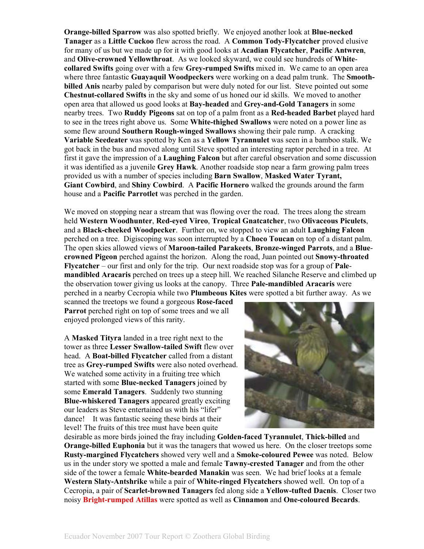**Orange-billed Sparrow** was also spotted briefly. We enjoyed another look at **Blue-necked Tanager** as a **Little Cuckoo** flew across the road. A **Common Tody-Flycatcher** proved elusive for many of us but we made up for it with good looks at **Acadian Flycatcher**, **Pacific Antwren**, and **Olive-crowned Yellowthroat**. As we looked skyward, we could see hundreds of **Whitecollared Swifts** going over with a few **Grey-rumped Swifts** mixed in. We came to an open area where three fantastic **Guayaquil Woodpeckers** were working on a dead palm trunk. The **Smoothbilled Anis** nearby paled by comparison but were duly noted for our list. Steve pointed out some **Chestnut-collared Swifts** in the sky and some of us honed our id skills. We moved to another open area that allowed us good looks at **Bay-headed** and **Grey-and-Gold Tanagers** in some nearby trees. Two **Ruddy Pigeons** sat on top of a palm front as a **Red-headed Barbet** played hard to see in the trees right above us. Some **White-thighed Swallows** were noted on a power line as some flew around **Southern Rough-winged Swallows** showing their pale rump. A cracking **Variable Seedeater** was spotted by Ken as a **Yellow Tyrannulet** was seen in a bamboo stalk. We got back in the bus and moved along until Steve spotted an interesting raptor perched in a tree. At first it gave the impression of a **Laughing Falcon** but after careful observation and some discussion it was identified as a juvenile **Grey Hawk**. Another roadside stop near a farm growing palm trees provided us with a number of species including **Barn Swallow**, **Masked Water Tyrant, Giant Cowbird**, and **Shiny Cowbird**. A **Pacific Hornero** walked the grounds around the farm house and a **Pacific Parrotlet** was perched in the garden.

We moved on stopping near a stream that was flowing over the road. The trees along the stream held **Western Woodhunter**, **Red-eyed Vireo**, **Tropical Gnatcatcher**, two **Olivaceous Piculets**, and a **Black-cheeked Woodpecker**. Further on, we stopped to view an adult **Laughing Falcon** perched on a tree. Digiscoping was soon interrupted by a **Choco Toucan** on top of a distant palm. The open skies allowed views of **Maroon-tailed Parakeets**, **Bronze-winged Parrots**, and a **Bluecrowned Pigeon** perched against the horizon. Along the road, Juan pointed out **Snowy-throated Flycatcher** – our first and only for the trip. Our next roadside stop was for a group of **Palemandibled Aracaris** perched on trees up a steep hill. We reached Silanche Reserve and climbed up the observation tower giving us looks at the canopy. Three **Pale-mandibled Aracaris** were perched in a nearby Cecropia while two **Plumbeous Kites** were spotted a bit further away. As we

scanned the treetops we found a gorgeous **Rose-faced Parrot** perched right on top of some trees and we all enjoyed prolonged views of this rarity.

A **Masked Tityra** landed in a tree right next to the tower as three **Lesser Swallow-tailed Swift** flew over head. A **Boat-billed Flycatcher** called from a distant tree as **Grey-rumped Swifts** were also noted overhead. We watched some activity in a fruiting tree which started with some **Blue-necked Tanagers** joined by some **Emerald Tanagers**. Suddenly two stunning **Blue-whiskered Tanagers** appeared greatly exciting our leaders as Steve entertained us with his "lifer" dance! It was fantastic seeing these birds at their level! The fruits of this tree must have been quite



desirable as more birds joined the fray including **Golden-faced Tyrannulet**, **Thick-billed** and **Orange-billed Euphonia** but it was the tanagers that wowed us here. On the closer treetops some **Rusty-margined Flycatchers** showed very well and a **Smoke-coloured Pewee** was noted. Below us in the under story we spotted a male and female **Tawny-crested Tanager** and from the other side of the tower a female **White-bearded Manakin** was seen. We had brief looks at a female **Western Slaty-Antshrike** while a pair of **White-ringed Flycatchers** showed well. On top of a Cecropia, a pair of **Scarlet-browned Tanagers** fed along side a **Yellow-tufted Dacnis**. Closer two noisy **Bright-rumped Atillas** were spotted as well as **Cinnamon** and **One-coloured Becards**.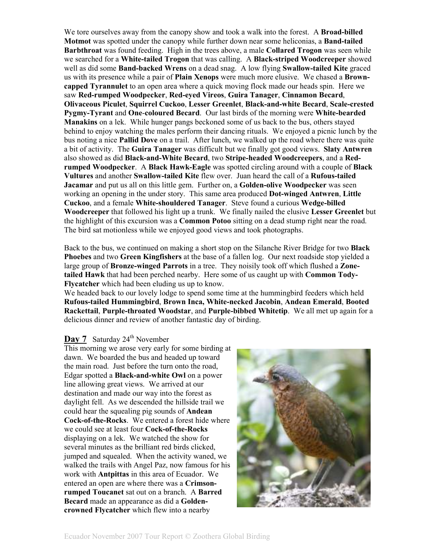We tore ourselves away from the canopy show and took a walk into the forest. A **Broad-billed Motmot** was spotted under the canopy while further down near some heliconias, a **Band-tailed Barbthroat** was found feeding. High in the trees above, a male **Collared Trogon** was seen while we searched for a **White-tailed Trogon** that was calling. A **Black-striped Woodcreeper** showed well as did some **Band-backed Wrens** on a dead snag. A low flying **Swallow-tailed Kite** graced us with its presence while a pair of **Plain Xenops** were much more elusive. We chased a **Browncapped Tyrannulet** to an open area where a quick moving flock made our heads spin. Here we saw **Red-rumped Woodpecker**, **Red-eyed Vireos**, **Guira Tanager**, **Cinnamon Becard**, **Olivaceous Piculet**, **Squirrel Cuckoo**, **Lesser Greenlet**, **Black-and-white Becard**, **Scale-crested Pygmy-Tyrant** and **One**-**coloured Becard**. Our last birds of the morning were **White-bearded Manakins** on a lek. While hunger pangs beckoned some of us back to the bus, others stayed behind to enjoy watching the males perform their dancing rituals. We enjoyed a picnic lunch by the bus noting a nice **Pallid Dove** on a trail. After lunch, we walked up the road where there was quite a bit of activity. The **Guira Tanager** was difficult but we finally got good views. **Slaty Antwren** also showed as did **Black-and-White Becard**, two **Stripe-headed Woodcreepers**, and a **Redrumped Woodpecker**. A **Black Hawk-Eagle** was spotted circling around with a couple of **Black Vultures** and another **Swallow-tailed Kite** flew over. Juan heard the call of a **Rufous-tailed Jacamar** and put us all on this little gem. Further on, a **Golden-olive Woodpecker** was seen working an opening in the under story. This same area produced **Dot-winged Antwren**, **Little Cuckoo**, and a female **White-shouldered Tanager**. Steve found a curious **Wedge-billed Woodcreeper** that followed his light up a trunk. We finally nailed the elusive **Lesser Greenlet** but the highlight of this excursion was a **Common Potoo** sitting on a dead stump right near the road. The bird sat motionless while we enjoyed good views and took photographs.

Back to the bus, we continued on making a short stop on the Silanche River Bridge for two **Black Phoebes** and two **Green Kingfishers** at the base of a fallen log. Our next roadside stop yielded a large group of **Bronze-winged Parrots** in a tree. They noisily took off which flushed a **Zonetailed Hawk** that had been perched nearby. Here some of us caught up with **Common Tody-Flycatcher** which had been eluding us up to know.

We headed back to our lovely lodge to spend some time at the hummingbird feeders which held **Rufous-tailed Hummingbird**, **Brown Inca, White-necked Jacobin**, **Andean Emerald**, **Booted Rackettail**, **Purple-throated Woodstar**, and **Purple-bibbed Whitetip**. We all met up again for a delicious dinner and review of another fantastic day of birding.

#### **Day 7** Saturday 24<sup>th</sup> November

This morning we arose very early for some birding at dawn. We boarded the bus and headed up toward the main road. Just before the turn onto the road, Edgar spotted a **Black-and-white Owl** on a power line allowing great views. We arrived at our destination and made our way into the forest as daylight fell. As we descended the hillside trail we could hear the squealing pig sounds of **Andean Cock-of-the-Rocks**. We entered a forest hide where we could see at least four **Cock-of-the-Rocks** displaying on a lek. We watched the show for several minutes as the brilliant red birds clicked, jumped and squealed. When the activity waned, we walked the trails with Angel Paz, now famous for his work with **Antpittas** in this area of Ecuador. We entered an open are where there was a **Crimsonrumped Toucanet** sat out on a branch. A **Barred Becard** made an appearance as did a **Goldencrowned Flycatcher** which flew into a nearby

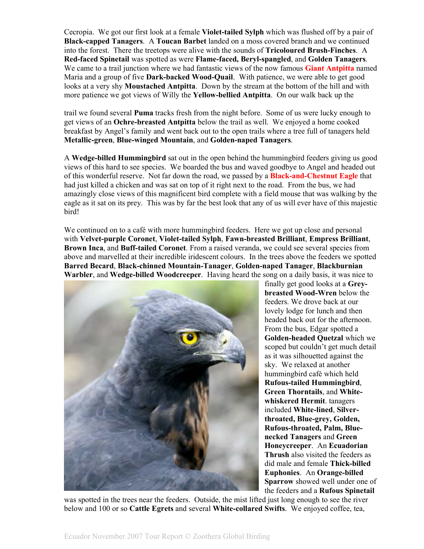Cecropia. We got our first look at a female **Violet-tailed Sylph** which was flushed off by a pair of **Black-capped Tanagers**. A **Toucan Barbet** landed on a moss covered branch and we continued into the forest. There the treetops were alive with the sounds of **Tricoloured Brush-Finches**. A **Red-faced Spinetail** was spotted as were **Flame-faced, Beryl-spangled**, and **Golden Tanagers**. We came to a trail junction where we had fantastic views of the now famous **Giant Antpitta** named Maria and a group of five **Dark-backed Wood-Quail**. With patience, we were able to get good looks at a very shy **Moustached Antpitta**. Down by the stream at the bottom of the hill and with more patience we got views of Willy the **Yellow-bellied Antpitta**. On our walk back up the

trail we found several **Puma** tracks fresh from the night before. Some of us were lucky enough to get views of an **Ochre-breasted Antpitta** below the trail as well. We enjoyed a home cooked breakfast by Angel's family and went back out to the open trails where a tree full of tanagers held **Metallic-green**, **Blue-winged Mountain**, and **Golden-naped Tanagers**.

A **Wedge-billed Hummingbird** sat out in the open behind the hummingbird feeders giving us good views of this hard to see species. We boarded the bus and waved goodbye to Angel and headed out of this wonderful reserve. Not far down the road, we passed by a **Black-and-Chestnut Eagle** that had just killed a chicken and was sat on top of it right next to the road. From the bus, we had amazingly close views of this magnificent bird complete with a field mouse that was walking by the eagle as it sat on its prey. This was by far the best look that any of us will ever have of this majestic bird!

We continued on to a café with more hummingbird feeders. Here we got up close and personal with **Velvet-purple Coronet**, **Violet-tailed Sylph**, **Fawn-breasted Brilliant**, **Empress Brilliant**, **Brown Inca**, and **Buff-tailed Coronet**. From a raised veranda, we could see several species from above and marvelled at their incredible iridescent colours. In the trees above the feeders we spotted **Barred Becard**, **Black-chinned Mountain-Tanager**, **Golden-naped Tanager**, **Blackburnian Warbler**, and **Wedge-billed Woodcreeper**. Having heard the song on a daily basis, it was nice to



finally get good looks at a **Greybreasted Wood-Wren** below the feeders. We drove back at our lovely lodge for lunch and then headed back out for the afternoon. From the bus, Edgar spotted a **Golden-headed Quetzal** which we scoped but couldn't get much detail as it was silhouetted against the sky. We relaxed at another hummingbird café which held **Rufous-tailed Hummingbird**, **Green Thorntails**, and **Whitewhiskered Hermit**. tanagers included **White-lined**, **Silverthroated, Blue-grey, Golden, Rufous-throated, Palm, Bluenecked Tanagers** and **Green Honeycreeper**. An **Ecuadorian Thrush** also visited the feeders as did male and female **Thick-billed Euphonies**. An **Orange-billed Sparrow** showed well under one of the feeders and a **Rufous Spinetail**

was spotted in the trees near the feeders. Outside, the mist lifted just long enough to see the river below and 100 or so **Cattle Egrets** and several **White-collared Swifts**. We enjoyed coffee, tea,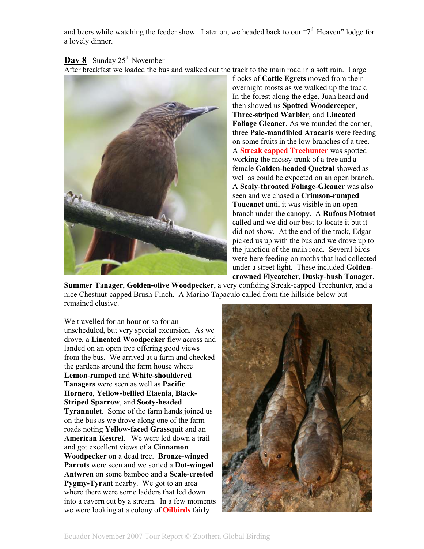and beers while watching the feeder show. Later on, we headed back to our " $7<sup>th</sup>$  Heaven" lodge for a lovely dinner.

#### **Day 8** Sunday 25<sup>th</sup> November

After breakfast we loaded the bus and walked out the track to the main road in a soft rain. Large



flocks of **Cattle Egrets** moved from their overnight roosts as we walked up the track. In the forest along the edge, Juan heard and then showed us **Spotted Woodcreeper**, **Three-striped Warbler**, and **Lineated Foliage Gleaner**. As we rounded the corner, three **Pale-mandibled Aracaris** were feeding on some fruits in the low branches of a tree. A **Streak capped Treehunter** was spotted working the mossy trunk of a tree and a female **Golden-headed Quetzal** showed as well as could be expected on an open branch. A **Scaly-throated Foliage-Gleaner** was also seen and we chased a **Crimson-rumped Toucanet** until it was visible in an open branch under the canopy. A **Rufous Motmot** called and we did our best to locate it but it did not show. At the end of the track, Edgar picked us up with the bus and we drove up to the junction of the main road. Several birds were here feeding on moths that had collected under a street light. These included **Goldencrowned Flycatcher**, **Dusky-bush Tanager**,

**Summer Tanager**, **Golden-olive Woodpecker**, a very confiding Streak-capped Treehunter, and a nice Chestnut-capped Brush-Finch. A Marino Tapaculo called from the hillside below but remained elusive.

We travelled for an hour or so for an unscheduled, but very special excursion. As we drove, a **Lineated Woodpecker** flew across and landed on an open tree offering good views from the bus. We arrived at a farm and checked the gardens around the farm house where **Lemon-rumped** and **White-shouldered Tanagers** were seen as well as **Pacific Hornero**, **Yellow-bellied Elaenia**, **Black-Striped Sparrow**, and **Sooty-headed Tyrannulet**. Some of the farm hands joined us on the bus as we drove along one of the farm roads noting **Yellow-faced Grassquit** and an **American Kestrel**. We were led down a trail and got excellent views of a **Cinnamon Woodpecker** on a dead tree. **Bronze**-**winged Parrots** were seen and we sorted a **Dot-winged Antwren** on some bamboo and a **Scale**-**crested Pygmy-Tyrant** nearby. We got to an area where there were some ladders that led down into a cavern cut by a stream. In a few moments we were looking at a colony of **Oilbirds** fairly

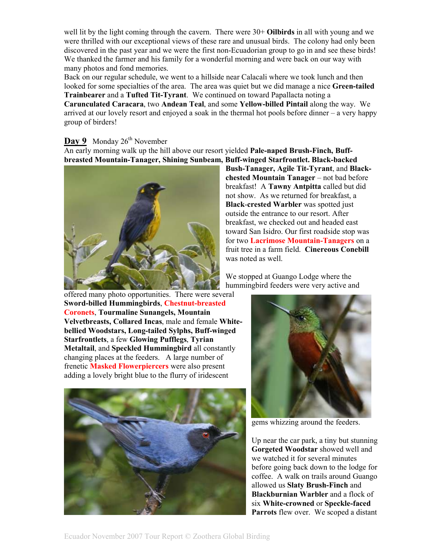well lit by the light coming through the cavern. There were 30+ **Oilbirds** in all with young and we were thrilled with our exceptional views of these rare and unusual birds. The colony had only been discovered in the past year and we were the first non-Ecuadorian group to go in and see these birds! We thanked the farmer and his family for a wonderful morning and were back on our way with many photos and fond memories.

Back on our regular schedule, we went to a hillside near Calacali where we took lunch and then looked for some specialties of the area. The area was quiet but we did manage a nice **Green-tailed Trainbearer** and a **Tufted Tit-Tyrant**. We continued on toward Papallacta noting a **Carunculated Caracara**, two **Andean Teal**, and some **Yellow-billed Pintail** along the way. We arrived at our lovely resort and enjoyed a soak in the thermal hot pools before dinner – a very happy group of birders!

### Day 9 Monday 26<sup>th</sup> November

An early morning walk up the hill above our resort yielded **Pale-naped Brush-Finch, Buffbreasted Mountain-Tanager, Shining Sunbeam, Buff-winged Starfrontlet. Black-backed** 



**Bush-Tanager, Agile Tit-Tyrant**, and **Blackchested Mountain Tanager** – not bad before breakfast! A **Tawny Antpitta** called but did not show. As we returned for breakfast, a **Black**-**crested Warbler** was spotted just outside the entrance to our resort. After breakfast, we checked out and headed east toward San Isidro. Our first roadside stop was for two **Lacrimose Mountain-Tanagers** on a fruit tree in a farm field. **Cinereous Conebill** was noted as well.

We stopped at Guango Lodge where the hummingbird feeders were very active and

offered many photo opportunities. There were several **Sword-billed Hummingbirds**, **Chestnut-breasted Coronets**, **Tourmaline Sunangels, Mountain Velvetbreasts, Collared Incas**, male and female **Whitebellied Woodstars, Long-tailed Sylphs, Buff-winged Starfrontlets**, a few **Glowing Pufflegs**, **Tyrian Metaltail**, and **Speckled Hummingbird** all constantly changing places at the feeders. A large number of frenetic **Masked Flowerpiercers** were also present adding a lovely bright blue to the flurry of iridescent





gems whizzing around the feeders.

Up near the car park, a tiny but stunning **Gorgeted Woodstar** showed well and we watched it for several minutes before going back down to the lodge for coffee. A walk on trails around Guango allowed us **Slaty Brush-Finch** and **Blackburnian Warbler** and a flock of six **White-crowned** or **Speckle-faced Parrots** flew over. We scoped a distant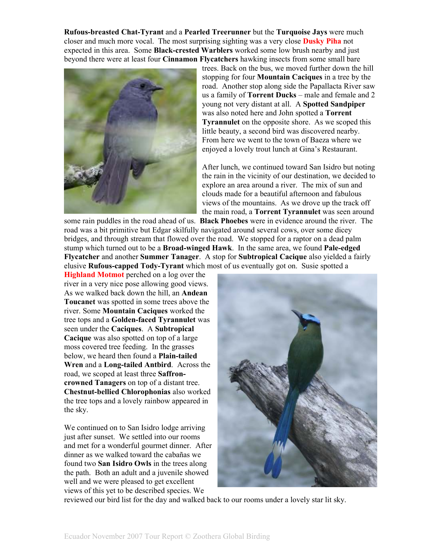**Rufous-breasted Chat-Tyrant** and a **Pearled Treerunner** but the **Turquoise Jays** were much closer and much more vocal. The most surprising sighting was a very close **Dusky Piha** not expected in this area. Some **Black-crested Warblers** worked some low brush nearby and just beyond there were at least four **Cinnamon Flycatchers** hawking insects from some small bare



trees. Back on the bus, we moved further down the hill stopping for four **Mountain Caciques** in a tree by the road. Another stop along side the Papallacta River saw us a family of **Torrent Ducks** – male and female and 2 young not very distant at all. A **Spotted Sandpiper** was also noted here and John spotted a **Torrent Tyrannulet** on the opposite shore. As we scoped this little beauty, a second bird was discovered nearby. From here we went to the town of Baeza where we enjoyed a lovely trout lunch at Gina's Restaurant.

After lunch, we continued toward San Isidro but noting the rain in the vicinity of our destination, we decided to explore an area around a river. The mix of sun and clouds made for a beautiful afternoon and fabulous views of the mountains. As we drove up the track off the main road, a **Torrent Tyrannulet** was seen around

some rain puddles in the road ahead of us. **Black Phoebes** were in evidence around the river. The road was a bit primitive but Edgar skilfully navigated around several cows, over some dicey bridges, and through stream that flowed over the road. We stopped for a raptor on a dead palm stump which turned out to be a **Broad-winged Hawk**. In the same area, we found **Pale-edged Flycatcher** and another **Summer Tanager**. A stop for **Subtropical Cacique** also yielded a fairly elusive **Rufous-capped Tody-Tyrant** which most of us eventually got on. Susie spotted a

**Highland Motmot** perched on a log over the river in a very nice pose allowing good views. As we walked back down the hill, an **Andean Toucanet** was spotted in some trees above the river. Some **Mountain Caciques** worked the tree tops and a **Golden-faced Tyrannulet** was seen under the **Caciques**. A **Subtropical Cacique** was also spotted on top of a large moss covered tree feeding. In the grasses below, we heard then found a **Plain-tailed Wren** and a **Long-tailed Antbird**. Across the road, we scoped at least three **Saffroncrowned Tanagers** on top of a distant tree. **Chestnut-bellied Chlorophonias** also worked the tree tops and a lovely rainbow appeared in the sky.

We continued on to San Isidro lodge arriving just after sunset. We settled into our rooms and met for a wonderful gourmet dinner. After dinner as we walked toward the cabañas we found two **San Isidro Owls** in the trees along the path. Both an adult and a juvenile showed well and we were pleased to get excellent views of this yet to be described species. We



reviewed our bird list for the day and walked back to our rooms under a lovely star lit sky.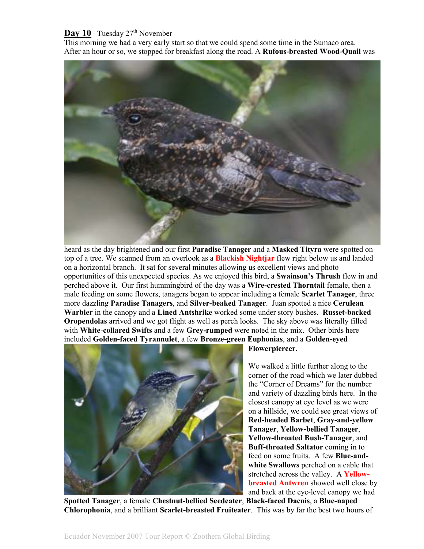#### **Day 10** Tuesday 27<sup>th</sup> November

This morning we had a very early start so that we could spend some time in the Sumaco area. After an hour or so, we stopped for breakfast along the road. A **Rufous-breasted Wood-Quail** was



heard as the day brightened and our first **Paradise Tanager** and a **Masked Tityra** were spotted on top of a tree. We scanned from an overlook as a **Blackish Nightjar** flew right below us and landed on a horizontal branch. It sat for several minutes allowing us excellent views and photo opportunities of this unexpected species. As we enjoyed this bird, a **Swainson's Thrush** flew in and perched above it. Our first hummingbird of the day was a **Wire-crested Thorntail** female, then a male feeding on some flowers, tanagers began to appear including a female **Scarlet Tanager**, three more dazzling **Paradise Tanagers**, and **Silver-beaked Tanager**. Juan spotted a nice **Cerulean Warbler** in the canopy and a **Lined Antshrike** worked some under story bushes. **Russet-backed Oropendolas** arrived and we got flight as well as perch looks. The sky above was literally filled with **White**-**collared Swifts** and a few **Grey-rumped** were noted in the mix. Other birds here included **Golden-faced Tyrannulet**, a few **Bronze-green Euphonias**, and a **Golden-eyed** 



**Flowerpiercer.** 

We walked a little further along to the corner of the road which we later dubbed the "Corner of Dreams" for the number and variety of dazzling birds here. In the closest canopy at eye level as we were on a hillside, we could see great views of **Red-headed Barbet**, **Gray-and-yellow Tanager**, **Yellow-bellied Tanager**, **Yellow-throated Bush-Tanager**, and **Buff-throated Saltator** coming in to feed on some fruits. A few **Blue-andwhite Swallows** perched on a cable that stretched across the valley. A **Yellowbreasted Antwren** showed well close by and back at the eye-level canopy we had

**Spotted Tanager**, a female **Chestnut-bellied Seedeater**, **Black-faced Dacnis**, a **Blue-naped Chlorophonia**, and a brilliant **Scarlet-breasted Fruiteater**. This was by far the best two hours of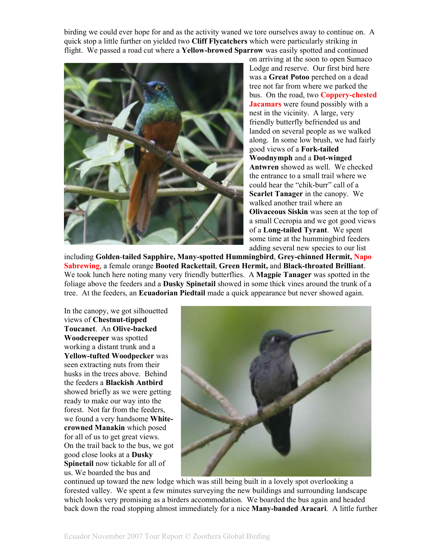birding we could ever hope for and as the activity waned we tore ourselves away to continue on. A quick stop a little further on yielded two **Cliff Flycatchers** which were particularly striking in flight. We passed a road cut where a **Yellow-browed Sparrow** was easily spotted and continued



on arriving at the soon to open Sumaco Lodge and reserve. Our first bird here was a **Great Potoo** perched on a dead tree not far from where we parked the bus. On the road, two **Coppery-chested Jacamars** were found possibly with a nest in the vicinity. A large, very friendly butterfly befriended us and landed on several people as we walked along. In some low brush, we had fairly good views of a **Fork-tailed Woodnymph** and a **Dot-winged Antwren** showed as well. We checked the entrance to a small trail where we could hear the "chik-burr" call of a **Scarlet Tanager** in the canopy. We walked another trail where an **Olivaceous Siskin** was seen at the top of a small Cecropia and we got good views of a **Long-tailed Tyrant**. We spent some time at the hummingbird feeders adding several new species to our list

including **Golden**-**tailed Sapphire, Many-spotted Hummingbird**, **Grey-chinned Hermit, Napo Sabrewing**, a female orange **Booted Rackettail**, **Green Hermit,** and **Black-throated Brilliant**. We took lunch here noting many very friendly butterflies. A **Magpie Tanager** was spotted in the foliage above the feeders and a **Dusky Spinetail** showed in some thick vines around the trunk of a tree. At the feeders, an **Ecuadorian Piedtail** made a quick appearance but never showed again.

In the canopy, we got silhouetted views of **Chestnut-tipped Toucanet**. An **Olive-backed Woodcreeper** was spotted working a distant trunk and a **Yellow-tufted Woodpecker** was seen extracting nuts from their husks in the trees above. Behind the feeders a **Blackish Antbird** showed briefly as we were getting ready to make our way into the forest. Not far from the feeders, we found a very handsome **Whitecrowned Manakin** which posed for all of us to get great views. On the trail back to the bus, we got good close looks at a **Dusky Spinetail** now tickable for all of us. We boarded the bus and



continued up toward the new lodge which was still being built in a lovely spot overlooking a forested valley. We spent a few minutes surveying the new buildings and surrounding landscape which looks very promising as a birders accommodation. We boarded the bus again and headed back down the road stopping almost immediately for a nice **Many-banded Aracari**. A little further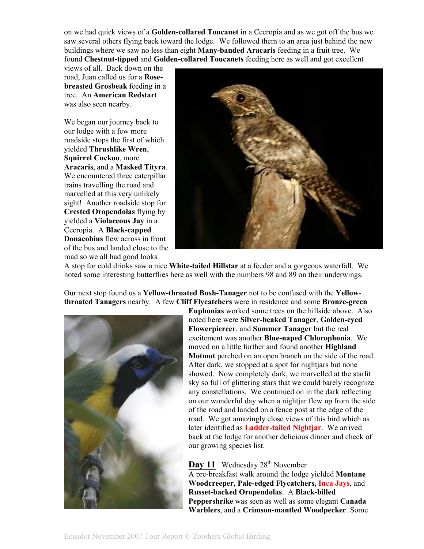on we had quick views of a **Golden-collared Toucanet** in a Cecropia and as we got off the bus we saw several others flying back toward the lodge. We followed them to an area just behind the new buildings where we saw no less than eight **Many-banded Aracaris** feeding in a fruit tree. We found **Chestnut-tipped** and **Golden-collared Toucanets** feeding here as well and got excellent

views of all. Back down on the road, Juan called us for a **Rosebreasted Grosbeak** feeding in a tree. An **American Redstart** was also seen nearby.

We began our journey back to our lodge with a few more roadside stops the first of which yielded **Thrushlike Wren**, **Squirrel Cuckoo**, more **Aracaris**, and a **Masked Tityra**. We encountered three caterpillar trains travelling the road and marvelled at this very unlikely sight! Another roadside stop for **Crested Oropendolas** flying by yielded a **Violaceous Jay** in a Cecropia. A **Black-capped Donacobius** flew across in front of the bus and landed close to the road so we all had good looks



A stop for cold drinks saw a nice **White-tailed Hillstar** at a feeder and a gorgeous waterfall. We noted some interesting butterflies here as well with the numbers 98 and 89 on their underwings.

Our next stop found us a **Yellow-throated Bush-Tanager** not to be confused with the **Yellowthroated Tanagers** nearby. A few **Cliff Flycatchers** were in residence and some **Bronze-green**



**Euphonias** worked some trees on the hillside above. Also noted here were **Silver-beaked Tanager**, **Golden-eyed Flowerpiercer**, and **Summer Tanager** but the real excitement was another **Blue-naped Chlorophonia**. We moved on a little further and found another **Highland Motmot** perched on an open branch on the side of the road. After dark, we stopped at a spot for nightjars but none showed. Now completely dark, we marvelled at the starlit sky so full of glittering stars that we could barely recognize any constellations. We continued on in the dark reflecting on our wonderful day when a nightjar flew up from the side of the road and landed on a fence post at the edge of the road. We got amazingly close views of this bird which as later identified as **Ladder-tailed Nightjar**. We arrived back at the lodge for another delicious dinner and check of our growing species list.

Day 11 Wednesday 28<sup>th</sup> November A pre-breakfast walk around the lodge yielded **Montane Woodcreeper, Pale-edged Flycatchers, Inca Jays**, and **Russet-backed Oropendolas**. A **Black-billed Peppershrike** was seen as well as some elegant **Canada Warblers**, and a **Crimson-mantled Woodpecker**. Some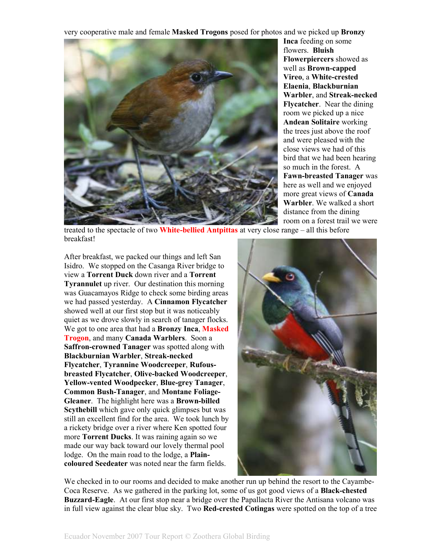very cooperative male and female **Masked Trogons** posed for photos and we picked up **Bronzy** 



**Inca** feeding on some flowers. **Bluish Flowerpiercers** showed as well as **Brown-capped Vireo**, a **White-crested Elaenia**, **Blackburnian Warbler**, and **Streak-necked Flycatcher**. Near the dining room we picked up a nice **Andean Solitaire** working the trees just above the roof and were pleased with the close views we had of this bird that we had been hearing so much in the forest. A **Fawn-breasted Tanager** was here as well and we enjoyed more great views of **Canada Warbler**. We walked a short distance from the dining room on a forest trail we were

treated to the spectacle of two **White-bellied Antpittas** at very close range – all this before breakfast!

After breakfast, we packed our things and left San Isidro. We stopped on the Casanga River bridge to view a **Torrent Duck** down river and a **Torrent Tyrannulet** up river. Our destination this morning was Guacamayos Ridge to check some birding areas we had passed yesterday. A **Cinnamon Flycatcher** showed well at our first stop but it was noticeably quiet as we drove slowly in search of tanager flocks. We got to one area that had a **Bronzy Inca**, **Masked Trogon**, and many **Canada Warblers**. Soon a **Saffron-crowned Tanager** was spotted along with **Blackburnian Warbler**, **Streak-necked Flycatcher**, **Tyrannine Woodcreeper**, **Rufousbreasted Flycatcher**, **Olive-backed Woodcreeper**, **Yellow-vented Woodpecker**, **Blue-grey Tanager**, **Common Bush-Tanager**, and **Montane Foliage-Gleaner**. The highlight here was a **Brown-billed Scythebill** which gave only quick glimpses but was still an excellent find for the area. We took lunch by a rickety bridge over a river where Ken spotted four more **Torrent Ducks**. It was raining again so we made our way back toward our lovely thermal pool lodge. On the main road to the lodge, a **Plaincoloured Seedeater** was noted near the farm fields.



We checked in to our rooms and decided to make another run up behind the resort to the Cayambe-Coca Reserve. As we gathered in the parking lot, some of us got good views of a **Black-chested Buzzard-Eagle**. At our first stop near a bridge over the Papallacta River the Antisana volcano was in full view against the clear blue sky. Two **Red-crested Cotingas** were spotted on the top of a tree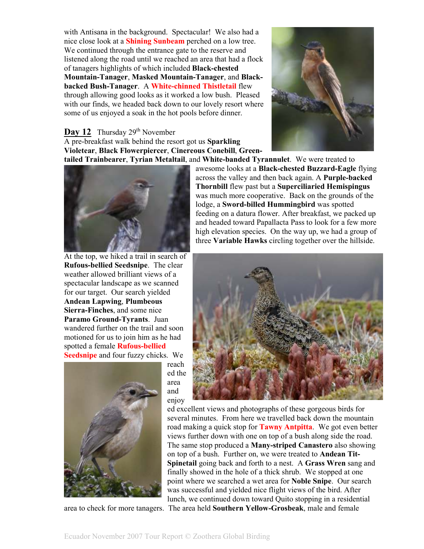with Antisana in the background. Spectacular! We also had a nice close look at a **Shining Sunbeam** perched on a low tree. We continued through the entrance gate to the reserve and listened along the road until we reached an area that had a flock of tanagers highlights of which included **Black-chested Mountain-Tanager**, **Masked Mountain-Tanager**, and **Blackbacked Bush-Tanager**. A **White-chinned Thistletail** flew through allowing good looks as it worked a low bush. Pleased with our finds, we headed back down to our lovely resort where some of us enjoyed a soak in the hot pools before dinner.

#### **Day 12** Thursday 29<sup>th</sup> November

A pre-breakfast walk behind the resort got us **Sparkling Violetear**, **Black Flowerpiercer**, **Cinereous Conebill**, **Green-**



At the top, we hiked a trail in search of **Rufous-bellied Seedsnipe**. The clear weather allowed brilliant views of a spectacular landscape as we scanned for our target. Our search yielded **Andean Lapwing**, **Plumbeous Sierra-Finches**, and some nice **Paramo Ground-Tyrants**. Juan wandered further on the trail and soon motioned for us to join him as he had spotted a female **Rufous-bellied Seedsnipe** and four fuzzy chicks. We



reach ed the area and enjoy



**tailed Trainbearer**, **Tyrian Metaltail**, and **White-banded Tyrannulet**. We were treated to awesome looks at a **Black-chested Buzzard-Eagle** flying across the valley and then back again. A **Purple-backed Thornbill** flew past but a **Superciliaried Hemispingus** was much more cooperative. Back on the grounds of the lodge, a **Sword-billed Hummingbird** was spotted feeding on a datura flower. After breakfast, we packed up and headed toward Papallacta Pass to look for a few more high elevation species. On the way up, we had a group of three **Variable Hawks** circling together over the hillside.



ed excellent views and photographs of these gorgeous birds for several minutes. From here we travelled back down the mountain road making a quick stop for **Tawny Antpitta**. We got even better views further down with one on top of a bush along side the road. The same stop produced a **Many-striped Canastero** also showing on top of a bush. Further on, we were treated to **Andean Tit-Spinetail** going back and forth to a nest. A **Grass Wren** sang and finally showed in the hole of a thick shrub. We stopped at one point where we searched a wet area for **Noble Snipe**. Our search was successful and yielded nice flight views of the bird. After lunch, we continued down toward Quito stopping in a residential area to check for more tanagers. The area held **Southern Yellow-Grosbeak**, male and female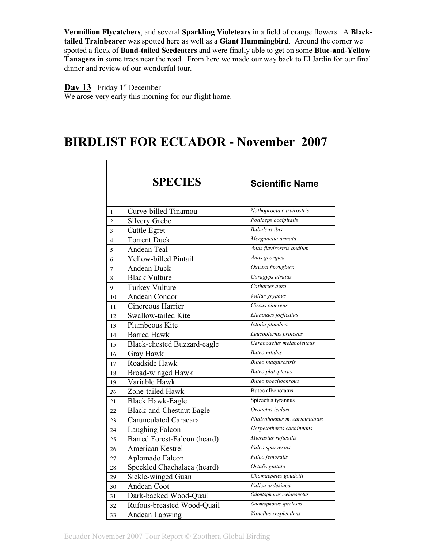**Vermillion Flycatchers**, and several **Sparkling Violetears** in a field of orange flowers. A **Blacktailed Trainbearer** was spotted here as well as a **Giant Hummingbird**. Around the corner we spotted a flock of **Band-tailed Seedeaters** and were finally able to get on some **Blue-and-Yellow Tanagers** in some trees near the road. From here we made our way back to El Jardin for our final dinner and review of our wonderful tour.

**Day 13** Friday 1<sup>st</sup> December

We arose very early this morning for our flight home.

# **BIRDLIST FOR ECUADOR - November 2007**

|                | <b>SPECIES</b>                  | <b>Scientific Name</b>       |
|----------------|---------------------------------|------------------------------|
| $\mathbf{1}$   | Curve-billed Tinamou            | Nothoprocta curvirostris     |
| $\overline{c}$ | Silvery Grebe                   | Podiceps occipitalis         |
| 3              | Cattle Egret                    | <b>Bubulcus</b> ibis         |
| 4              | <b>Torrent Duck</b>             | Merganetta armata            |
| 5              | Andean Teal                     | Anas flavirostris andium     |
| 6              | <b>Yellow-billed Pintail</b>    | Anas georgica                |
| 7              | <b>Andean Duck</b>              | Oxyura ferruginea            |
| 8              | <b>Black Vulture</b>            | Coragyps atratus             |
| 9              | <b>Turkey Vulture</b>           | Cathartes aura               |
| 10             | Andean Condor                   | Vultur gryphus               |
| 11             | Cinereous Harrier               | Circus cinereus              |
| 12             | Swallow-tailed Kite             | Elanoides forficatus         |
| 13             | Plumbeous Kite                  | Ictinia plumbea              |
| 14             | <b>Barred Hawk</b>              | Leucopternis princeps        |
| 15             | Black-chested Buzzard-eagle     | Geranoaetus melanoleucus     |
| 16             | Gray Hawk                       | <b>Buteo</b> nitidus         |
| 17             | Roadside Hawk                   | <b>Buteo</b> magnirostris    |
| 18             | <b>Broad-winged Hawk</b>        | <b>Buteo</b> platypterus     |
| 19             | Variable Hawk                   | Buteo poecilochrous          |
| 20             | Zone-tailed Hawk                | Buteo albonotatus            |
| 21             | <b>Black Hawk-Eagle</b>         | Spizaetus tyrannus           |
| 22             | <b>Black-and-Chestnut Eagle</b> | Oroaetus isidori             |
| 23             | Carunculated Caracara           | Phalcoboenus m. carunculatus |
| 24             | Laughing Falcon                 | Herpetotheres cachinnans     |
| 25             | Barred Forest-Falcon (heard)    | Micrastur ruficollis         |
| 26             | American Kestrel                | Falco sparverius             |
| 27             | Aplomado Falcon                 | Falco femoralis              |
| 28             | Speckled Chachalaca (heard)     | Ortalis guttata              |
| 29             | Sickle-winged Guan              | Chamaepetes goudotii         |
| 30             | Andean Coot                     | Fulica ardesiaca             |
| 31             | Dark-backed Wood-Quail          | Odontophorus melanonotus     |
| 32             | Rufous-breasted Wood-Quail      | Odontophorus speciosus       |
| 33             | Andean Lapwing                  | Vanellus resplendens         |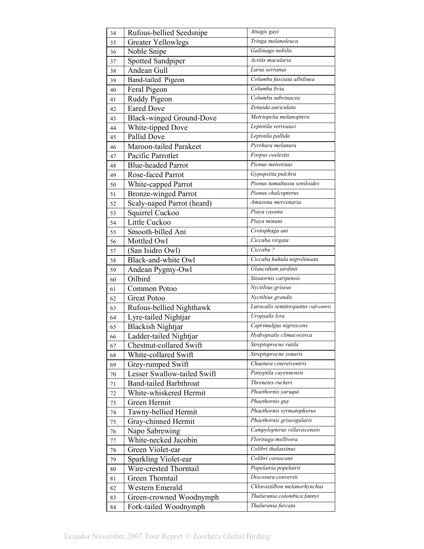| 34     | Rufous-bellied Seedsnipe        | Attagis gayi                        |
|--------|---------------------------------|-------------------------------------|
| 35     | <b>Greater Yellowlegs</b>       | Tringa melanoleuca                  |
| 36     | Noble Snipe                     | Gallinago nobilis                   |
| 37     | Spotted Sandpiper               | Actitis macularia                   |
| 38     | <b>Andean Gull</b>              | Larus serranus                      |
| 39     | Band-tailed Pigeon              | Columba fasciata albilinea          |
| 40     | Feral Pigeon                    | Columba livia                       |
| 41     | Ruddy Pigeon                    | Columba subvinacea                  |
| 42     | <b>Eared Dove</b>               | Zenaida auriculata                  |
| 43     | <b>Black-winged Ground-Dove</b> | Metriopelia melanoptera             |
| 44     | White-tipped Dove               | Leptotila verreauxi                 |
| 45     | Pallid Dove                     | Leptotila pallida                   |
| 46     | Maroon-tailed Parakeet          | Pyrrhura melanura                   |
| 47     | Pacific Parrotlet               | Forpus coelestis                    |
| 48     | <b>Blue-headed Parrot</b>       | Pionus menstruus                    |
| 49     | Rose-faced Parrot               | Gypopsitta pulchra                  |
| 50     | White-capped Parrot             | Pionus tumultuosu seniloides        |
| 51     | <b>Bronze-winged Parrot</b>     | Pionus chalcopterus                 |
| 52     | Scaly-naped Parrot (heard)      | Amazona mercenaria                  |
| 53     | Squirrel Cuckoo                 | Piaya cayana                        |
| 54     | Little Cuckoo                   | Piaya minuta                        |
| 55     | Smooth-billed Ani               | Crotophaga ani                      |
| 56     | Mottled Owl                     | Ciccaba virgata                     |
| 57     | (San Isidro Owl)                | Ciccaba?                            |
| 58     | Black-and-white Owl             | Ciccaba huhula nigrolineata         |
| 59     | Andean Pygmy-Owl                | Glaucidium jardinii                 |
| 60     | Oilbird                         | Steatornis caripensis               |
| 61     | Common Potoo                    | Nyctibius griseus                   |
| 62     | <b>Great Potoo</b>              | Nyctibius grandis                   |
| 63     | Rufous-bellied Nighthawk        | Lurocalis semitorquatus rufiventris |
| 64     | Lyre-tailed Nightjar            | Uropsalis lyra                      |
| 65     | <b>Blackish Nightjar</b>        | Caprimulgus nigrescens              |
| 66     | Ladder-tailed Nightjar          | Hydropsalis climacocerca            |
| 67     | Chestnut-collared Swift         | Streptoprocne rutila                |
| 68     | White-collared Swift            | Streptoprocne zonaris               |
| 69     | Grey-rumped Swift               | Chaetura cinereiventris             |
| 70     | Lesser Swallow-tailed Swift     | Panyptila cayennensis               |
| 71     | <b>Band-tailed Barbthroat</b>   | Threnetes ruckeri                   |
| 72     | White-whiskered Hermit          | Phaethornis yaruqui                 |
| 73     | Green Hermit                    | Phaethornis guy                     |
| 74     | Tawny-bellied Hermit            | Phaethornis syrmatophorus           |
| 75     | Gray-chinned Hermit             | Phaethornis griseogularis           |
| 76     | Napo Sabrewing                  | Campylopterus villaviscensio        |
| 77     | White-necked Jacobin            | Florisuga mellivora                 |
| $78\,$ | Green Violet-ear                | Colibri thalassinus                 |
| 79     | Sparkling Violet-ear            | Colibri coruscans                   |
| 80     | Wire-crested Thorntail          | Popelairia popelairii               |
| 81     | Green Thorntail                 | Discosura conversii                 |
| 82     | Western Emerald                 | Chlorostilbon melanorhynchus        |
| 83     | Green-crowned Woodnymph         | Thalurania colombica fannyi         |
| 84     | Fork-tailed Woodnymph           | Thalurania furcata                  |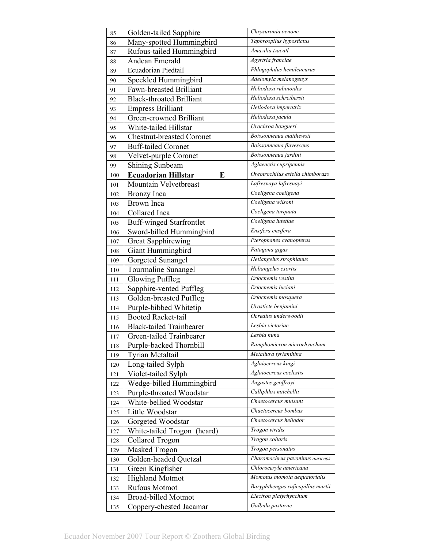| 85         | Golden-tailed Sapphire                      | Chrysuronia oenone                |
|------------|---------------------------------------------|-----------------------------------|
| 86         | Many-spotted Hummingbird                    | Taphrospilus hypostictus          |
| 87         | Rufous-tailed Hummingbird                   | Amazilia tzacatl                  |
| 88         | Andean Emerald                              | Agyrtria franciae                 |
| 89         | Ecuadorian Piedtail                         | Phlogophilus hemileucurus         |
| 90         | Speckled Hummingbird                        | Adelomyia melanogenys             |
| 91         | Fawn-breasted Brilliant                     | Heliodoxa rubinoides              |
| 92         | <b>Black-throated Brilliant</b>             | Heliodoxa schreibersii            |
| 93         | <b>Empress Brilliant</b>                    | Heliodoxa imperatrix              |
| 94         | Green-crowned Brilliant                     | Heliodoxa jacula                  |
| 95         | White-tailed Hillstar                       | Urochroa bougueri                 |
| 96         | <b>Chestnut-breasted Coronet</b>            | Boissonneaua matthewsii           |
| 97         | <b>Buff-tailed Coronet</b>                  | Boissonneaua flavescens           |
| 98         | Velvet-purple Coronet                       | Boissonneaua jardini              |
| 99         | <b>Shining Sunbeam</b>                      | Aglaeactis cupripennis            |
| 100        | <b>Ecuadorian Hillstar</b><br>E             | Oreotrochilus estella chimborazo  |
| 101        | Mountain Velvetbreast                       | Lafresnaya lafresnayi             |
| 102        | Bronzy Inca                                 | Coeligena coeligena               |
| 103        | <b>Brown</b> Inca                           | Coeligena wilsoni                 |
| 104        | Collared Inca                               | Coeligena torquata                |
| 105        | <b>Buff-winged Starfrontlet</b>             | Coeligena lutetiae                |
| 106        | Sword-billed Hummingbird                    | Ensifera ensifera                 |
| 107        | <b>Great Sapphirewing</b>                   | Pterophanes cyanopterus           |
| 108        | Giant Hummingbird                           | Patagona gigas                    |
| 109        | Gorgeted Sunangel                           | Heliangelus strophianus           |
| 110        | Tourmaline Sunangel                         | Heliangelus exortis               |
| 111        | Glowing Puffleg                             | Eriocnemis vestita                |
| 112        | Sapphire-vented Puffleg                     | Eriocnemis luciani                |
| 113        | Golden-breasted Puffleg                     | Eriocnemis mosquera               |
| 114        | Purple-bibbed Whitetip                      | Urosticte benjamini               |
| 115        | <b>Booted Racket-tail</b>                   | Ocreatus underwoodii              |
| 116        | <b>Black-tailed Trainbearer</b>             | Lesbia victoriae                  |
| 117        | Green-tailed Trainbearer                    | Lesbia nuna                       |
| 118        | Purple-backed Thornbill                     | Ramphomicron microrhynchum        |
| 119        | <b>Tyrian Metaltail</b>                     | Metallura tyrianthina             |
| 120        | Long-tailed Sylph                           | Aglaiocercus kingi                |
| 121        | Violet-tailed Sylph                         | Aglaiocercus coelestis            |
| 122        | Wedge-billed Hummingbird                    | Augastes geoffroyi                |
| 123        | Purple-throated Woodstar                    | Calliphlox mitchellii             |
| 124        | White-bellied Woodstar                      | Chaetocercus mulsant              |
| 125        | Little Woodstar                             | Chaetocercus bombus               |
| 126        | Gorgeted Woodstar                           | Chaetocercus heliodor             |
|            | White-tailed Trogon (heard)                 | Trogon viridis                    |
| 127        | <b>Collared Trogon</b>                      | Trogon collaris                   |
| 128<br>129 | Masked Trogon                               | Trogon personatus                 |
|            | Golden-headed Quetzal                       | Pharomachrus pavoninus auriceps   |
| 130        | Green Kingfisher                            | Chloroceryle americana            |
| 131        |                                             | Momotus momota aequatorialis      |
| 132        | <b>Highland Motmot</b>                      | Baryphthengus ruficapillus martii |
| 133        | Rufous Motmot<br><b>Broad-billed Motmot</b> | Electron platyrhynchum            |
| 134        |                                             | Galbula pastazae                  |
| 135        | Coppery-chested Jacamar                     |                                   |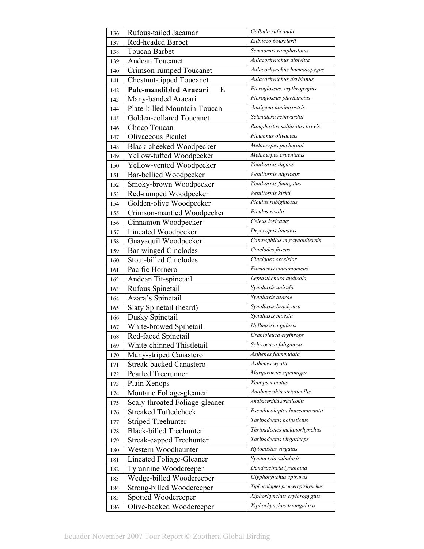| 136        | Rufous-tailed Jacamar                                  | Galbula ruficauda               |
|------------|--------------------------------------------------------|---------------------------------|
| 137        | Red-headed Barbet                                      | Eubucco bourcierii              |
| 138        | <b>Toucan Barbet</b>                                   | Semnornis ramphastinus          |
| 139        | Andean Toucanet                                        | Aulacorhynchus albivitta        |
| 140        | Crimson-rumped Toucanet                                | Aulacorhynchus haematopygus     |
| 141        | <b>Chestnut-tipped Toucanet</b>                        | Aulacorhynchus derbianus        |
| 142        | Pale-mandibled Aracari<br>E                            | Pteroglossus. erythropygius     |
| 143        | Many-banded Aracari                                    | Pteroglossus pluricinctus       |
| 144        | Plate-billed Mountain-Toucan                           | Andigena laminirostris          |
| 145        | Golden-collared Toucanet                               | Selenidera reinwardtii          |
| 146        | Choco Toucan                                           | Ramphastos sulfuratus brevis    |
| 147        | Olivaceous Piculet                                     | Picumnus olivaceus              |
| 148        | Black-cheeked Woodpecker                               | Melanerpes pucherani            |
| 149        | Yellow-tufted Woodpecker                               | Melanerpes cruentatus           |
| 150        | Yellow-vented Woodpecker                               | Veniliornis dignus              |
| 151        | Bar-bellied Woodpecker                                 | Veniliornis nigriceps           |
| 152        | Smoky-brown Woodpecker                                 | Veniliornis fumigatus           |
| 153        | Red-rumped Woodpecker                                  | Veniliornis kirkii              |
| 154        | Golden-olive Woodpecker                                | Piculus rubiginosus             |
| 155        | Crimson-mantled Woodpecker                             | Piculus rivolii                 |
| 156        | Cinnamon Woodpecker                                    | Celeus loricatus                |
| 157        | Lineated Woodpecker                                    | Dryocopus lineatus              |
| 158        | Guayaquil Woodpecker                                   | Campephilus m.gayaquilensis     |
| 159        | <b>Bar-winged Cinclodes</b>                            | Cinclodes fuscus                |
| 160        | Stout-billed Cinclodes                                 | Cinclodes excelsior             |
| 161        | Pacific Hornero                                        | Furnarius cinnamomeus           |
| 162        | Andean Tit-spinetail                                   | Leptasthenura andicola          |
| 163        | Rufous Spinetail                                       | Synallaxis unirufa              |
| 164        | Azara's Spinetail                                      | Synallaxis azarae               |
| 165        | Slaty Spinetail (heard)                                | Synallaxis brachyura            |
| 166        | Dusky Spinetail                                        | Synallaxis moesta               |
|            | White-browed Spinetail                                 | Hellmayrea gularis              |
| 167<br>168 | Red-faced Spinetail                                    | Cranioleuca erythrops           |
| 169        | White-chinned Thistletail                              | Schizoeaca fuliginosa           |
|            | Many-striped Canastero                                 | Asthenes flammulata             |
| 170        | Streak-backed Canastero                                | Asthenes wyatti                 |
| 171<br>172 | Pearled Treerunner                                     | Margarornis squamiger           |
|            | Plain Xenops                                           | Xenops minutus                  |
| 173        | Montane Foliage-gleaner                                | Anabacerthia striaticollis      |
| 174<br>175 | Scaly-throated Foliage-gleaner                         | Anabacerthia striaticollis      |
| 176        | <b>Streaked Tuftedcheek</b>                            | Pseudocolaptes boissonneautii   |
|            | <b>Striped Treehunter</b>                              | Thripadectes holostictus        |
| 177        | <b>Black-billed Treehunter</b>                         | Thripadectes melanorhynchus     |
| 178        |                                                        | Thripadectes virgaticeps        |
| 179        | <b>Streak-capped Treehunter</b><br>Western Woodhaunter | Hyloctistes virgatus            |
| 180        | Lineated Foliage-Gleaner                               | Syndactyla subalaris            |
| 181        |                                                        | Dendrocincla tyrannina          |
| 182        | Tyrannine Woodcreeper                                  | Glyphorynchus spirurus          |
| 183        | Wedge-billed Woodcreeper                               | Xiphocolaptes promeropirhynchus |
| 184        | Strong-billed Woodcreeper                              | Xiphorhynchus erythropygius     |
| 185        | Spotted Woodcreeper                                    |                                 |
| 186        | Olive-backed Woodcreeper                               | Xiphorhynchus triangularis      |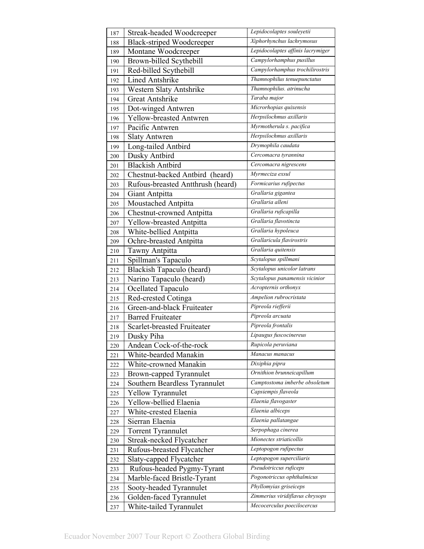| 187 | Streak-headed Woodcreeper         | Lepidocolaptes souleyetii         |
|-----|-----------------------------------|-----------------------------------|
| 188 | <b>Black-striped Woodcreeper</b>  | Xiphorhynchus lachrymosus         |
| 189 | Montane Woodcreeper               | Lepidocolaptes affinis lacrymiger |
| 190 | Brown-billed Scythebill           | Campylorhamphus pusillus          |
| 191 | Red-billed Scythebill             | Campylorhamphus trochilirostris   |
| 192 | <b>Lined Antshrike</b>            | Thamnophilus tenuepunctatus       |
| 193 | Western Slaty Antshrike           | Thamnophilus. atrinucha           |
| 194 | <b>Great Antshrike</b>            | Taraba major                      |
| 195 | Dot-winged Antwren                | Microrhopias quixensis            |
| 196 | <b>Yellow-breasted Antwren</b>    | Herpsilochmus axillaris           |
| 197 | Pacific Antwren                   | Myrmotherula s. pacifica          |
| 198 | <b>Slaty Antwren</b>              | Herpsilochmus axillaris           |
| 199 | Long-tailed Antbird               | Drymophila caudata                |
| 200 | Dusky Antbird                     | Cercomacra tyrannina              |
| 201 | <b>Blackish Antbird</b>           | Cercomacra nigrescens             |
| 202 | Chestnut-backed Antbird (heard)   | Myrmeciza exsul                   |
| 203 | Rufous-breasted Antthrush (heard) | Formicarius rufipectus            |
| 204 | Giant Antpitta                    | Grallaria gigantea                |
| 205 | Moustached Antpitta               | Grallaria alleni                  |
| 206 | <b>Chestnut-crowned Antpitta</b>  | Grallaria ruficapilla             |
| 207 | Yellow-breasted Antpitta          | Grallaria flavotincta             |
| 208 | White-bellied Antpitta            | Grallaria hypoleuca               |
| 209 | Ochre-breasted Antpitta           | Grallaricula flavirostris         |
| 210 | Tawny Antpitta                    | Grallaria quitensis               |
| 211 | Spillman's Tapaculo               | Scytalopus spillmani              |
| 212 | Blackish Tapaculo (heard)         | Scytalopus unicolor latrans       |
| 213 | Narino Tapaculo (heard)           | Scytalopus panamensis vicinior    |
| 214 | Ocellated Tapaculo                | Acropternis orthonyx              |
| 215 | Red-crested Cotinga               | Ampelion rubrocristata            |
| 216 | Green-and-black Fruiteater        | Pipreola riefferii                |
| 217 | <b>Barred Fruiteater</b>          | Pipreola arcuata                  |
| 218 | Scarlet-breasted Fruiteater       | Pipreola frontalis                |
| 219 | Dusky Piha                        | Lipaugus fuscocinereus            |
| 220 | Andean Cock-of-the-rock           | Rupicola peruviana                |
| 221 | White-bearded Manakin             | Manacus manacus                   |
| 222 | White-crowned Manakin             | Dixiphia pipra                    |
| 223 | Brown-capped Tyrannulet           | Ornithion brunneicapillum         |
| 224 | Southern Beardless Tyrannulet     | Camptostoma imberbe obsoletum     |
| 225 | Yellow Tyrannulet                 | Capsiempis flaveola               |
| 226 | Yellow-bellied Elaenia            | Elaenia flavogaster               |
| 227 | White-crested Elaenia             | Elaenia albiceps                  |
| 228 | Sierran Elaenia                   | Elaenia pallatangae               |
| 229 | Torrent Tyrannulet                | Serpophaga cinerea                |
| 230 | Streak-necked Flycatcher          | Mionectes striaticollis           |
| 231 | Rufous-breasted Flycatcher        | Leptopogon rufipectus             |
| 232 | Slaty-capped Flycatcher           | Leptopogon superciliaris          |
| 233 | Rufous-headed Pygmy-Tyrant        | Pseudotriccus ruficeps            |
| 234 | Marble-faced Bristle-Tyrant       | Pogonotriccus ophthalmicus        |
| 235 | Sooty-headed Tyrannulet           | Phyllomyias griseiceps            |
| 236 | Golden-faced Tyrannulet           | Zimmerius viridiflavus chrysops   |
| 237 | White-tailed Tyrannulet           | Mecocerculus poecilocercus        |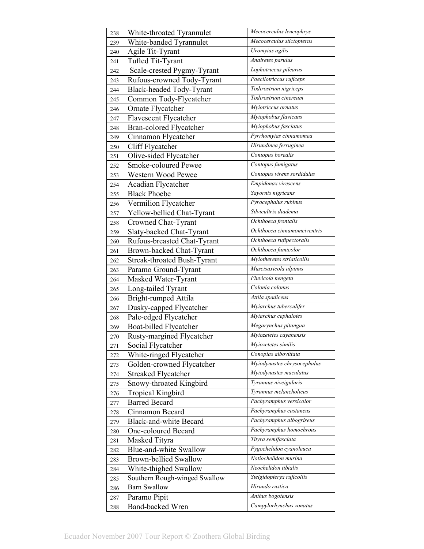| 238 | White-throated Tyrannulet      | Mecocerculus leucophrys     |
|-----|--------------------------------|-----------------------------|
| 239 | White-banded Tyrannulet        | Mecocerculus stictopterus   |
| 240 | Agile Tit-Tyrant               | Uromyias agilis             |
| 241 | Tufted Tit-Tyrant              | Anairetes parulus           |
| 242 | Scale-crested Pygmy-Tyrant     | Lophotriccus pilearus       |
| 243 | Rufous-crowned Tody-Tyrant     | Poecilotriccus ruficeps     |
| 244 | Black-headed Tody-Tyrant       | Todirostrum nigriceps       |
| 245 | Common Tody-Flycatcher         | Todirostrum cinereum        |
| 246 | Ornate Flycatcher              | Myiotriccus ornatus         |
| 247 | Flavescent Flycatcher          | Myiophobus flavicans        |
| 248 | <b>Bran-colored Flycatcher</b> | Myiophobus fasciatus        |
| 249 | Cinnamon Flycatcher            | Pyrrhomyias cinnamomea      |
| 250 | Cliff Flycatcher               | Hirundinea ferruginea       |
| 251 | Olive-sided Flycatcher         | Contopus borealis           |
| 252 | Smoke-coloured Pewee           | Contopus fumigatus          |
| 253 | Western Wood Pewee             | Contopus virens sordidulus  |
| 254 | Acadian Flycatcher             | Empidonax virescens         |
| 255 | <b>Black Phoebe</b>            | Sayornis nigricans          |
| 256 | Vermilion Flycatcher           | Pyrocephalus rubinus        |
| 257 | Yellow-bellied Chat-Tyrant     | Silvicultrix diadema        |
| 258 | Crowned Chat-Tyrant            | Ochthoeca frontalis         |
| 259 | Slaty-backed Chat-Tyrant       | Ochthoeca cinnamomeiventris |
| 260 | Rufous-breasted Chat-Tyrant    | Ochthoeca rufipectoralis    |
| 261 | Brown-backed Chat-Tyrant       | Ochthoeca fumicolor         |
| 262 | Streak-throated Bush-Tyrant    | Myiotheretes striaticollis  |
| 263 | Paramo Ground-Tyrant           | Muscisaxicola alpinus       |
| 264 | Masked Water-Tyrant            | Fluvicola nengeta           |
| 265 | Long-tailed Tyrant             | Colonia colonus             |
| 266 | Bright-rumped Attila           | Attila spadiceus            |
| 267 | Dusky-capped Flycatcher        | Myiarchus tuberculifer      |
| 268 | Pale-edged Flycatcher          | Myiarchus cephalotes        |
| 269 | Boat-billed Flycatcher         | Megarynchus pitangua        |
| 270 | Rusty-margined Flycatcher      | Myiozetetes cayanensis      |
| 271 | Social Flycatcher              | Myiozetetes similis         |
| 272 | White-ringed Flycatcher        | Conopias albovittata        |
| 273 | Golden-crowned Flycatcher      | Myiodynastes chrysocephalus |
| 274 | <b>Streaked Flycatcher</b>     | Myiodynastes maculatus      |
| 275 | Snowy-throated Kingbird        | Tyrannus niveigularis       |
| 276 | <b>Tropical Kingbird</b>       | Tyrannus melancholicus      |
| 277 | <b>Barred Becard</b>           | Pachyramphus versicolor     |
| 278 | Cinnamon Becard                | Pachyramphus castaneus      |
| 279 | <b>Black-and-white Becard</b>  | Pachyramphus albogriseus    |
| 280 | One-coloured Becard            | Pachyramphus homochrous     |
| 281 | Masked Tityra                  | Tityra semifasciata         |
| 282 | Blue-and-white Swallow         | Pygochelidon cyanoleuca     |
| 283 | <b>Brown-bellied Swallow</b>   | Notiochelidon murina        |
| 284 | White-thighed Swallow          | Neochelidon tibialis        |
| 285 | Southern Rough-winged Swallow  | Stelgidopteryx ruficollis   |
| 286 | <b>Barn Swallow</b>            | Hirundo rustica             |
| 287 | Paramo Pipit                   | Anthus bogotensis           |
| 288 | <b>Band-backed Wren</b>        | Campylorhynchus zonatus     |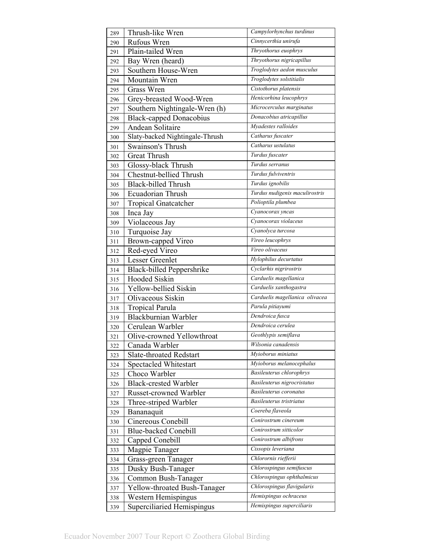| 289 | Thrush-like Wren                 | Campylorhynchus turdinus        |
|-----|----------------------------------|---------------------------------|
| 290 | Rufous Wren                      | Cinnycerthia unirufa            |
| 291 | Plain-tailed Wren                | Thryothorus euophrys            |
| 292 | Bay Wren (heard)                 | Thryothorus nigricapillus       |
| 293 | Southern House-Wren              | Troglodytes aedon musculus      |
| 294 | Mountain Wren                    | Troglodytes solstitialis        |
| 295 | Grass Wren                       | Cistothorus platensis           |
| 296 | Grey-breasted Wood-Wren          | Henicorhina leucophrys          |
| 297 | Southern Nightingale-Wren (h)    | Microcerculus marginatus        |
| 298 | <b>Black-capped Donacobius</b>   | Donacobius atricapillus         |
| 299 | <b>Andean Solitaire</b>          | Myadestes ralloides             |
| 300 | Slaty-backed Nightingale-Thrush  | Catharus fuscater               |
| 301 | Swainson's Thrush                | Catharus ustulatus              |
| 302 | <b>Great Thrush</b>              | Turdus fuscater                 |
| 303 | Glossy-black Thrush              | Turdus serranus                 |
| 304 | <b>Chestnut-bellied Thrush</b>   | Turdus fulviventris             |
| 305 | <b>Black-billed Thrush</b>       | Turdus ignobilis                |
| 306 | Ecuadorian Thrush                | Turdus nudigenis maculirostris  |
| 307 | <b>Tropical Gnatcatcher</b>      | Polioptila plumbea              |
| 308 | Inca Jay                         | Cyanocorax yncas                |
| 309 | Violaceous Jay                   | Cyanocorax violaceus            |
| 310 | Turquoise Jay                    | Cyanolyca turcosa               |
| 311 | Brown-capped Vireo               | Vireo leucophrys                |
| 312 | Red-eyed Vireo                   | Vireo olivaceus                 |
| 313 | Lesser Greenlet                  | Hylophilus decurtatus           |
| 314 | <b>Black-billed Peppershrike</b> | Cyclarhis nigrirostris          |
| 315 | Hooded Siskin                    | Carduelis magellanica           |
| 316 | Yellow-bellied Siskin            | Carduelis xanthogastra          |
| 317 | Olivaceous Siskin                | Carduelis magellanica olivacea  |
| 318 | <b>Tropical Parula</b>           | Parula pitiayumi                |
| 319 | Blackburnian Warbler             | Dendroica fusca                 |
| 320 | Cerulean Warbler                 | Dendroica cerulea               |
| 321 | Olive-crowned Yellowthroat       | Geothlypis semiflava            |
| 322 | Canada Warbler                   | Wilsonia canadensis             |
| 323 | <b>Slate-throated Redstart</b>   | Myioborus miniatus              |
| 324 | Spectacled Whitestart            | Myioborus melanocephalus        |
| 325 | Choco Warbler                    | <b>Basileuterus chlorophrys</b> |
| 326 | <b>Black-crested Warbler</b>     | Basileuterus nigrocristatus     |
| 327 | Russet-crowned Warbler           | Basileuterus coronatus          |
| 328 | Three-striped Warbler            | Basileuterus tristriatus        |
| 329 | Bananaquit                       | Coereba flaveola                |
| 330 | Cinereous Conebill               | Conirostrum cinereum            |
| 331 | <b>Blue-backed Conebill</b>      | Conirostrum sitticolor          |
| 332 | Capped Conebill                  | Conirostrum albifrons           |
| 333 | Magpie Tanager                   | Cissopis leveriana              |
| 334 | Grass-green Tanager              | Chlorornis riefferii            |
| 335 | Dusky Bush-Tanager               | Chlorospingus semifuscus        |
| 336 | Common Bush-Tanager              | Chlorospingus ophthalmicus      |
| 337 | Yellow-throated Bush-Tanager     | Chlorospingus flavigularis      |
| 338 | Western Hemispingus              | Hemispingus ochraceus           |
| 339 | Superciliaried Hemispingus       | Hemispingus superciliaris       |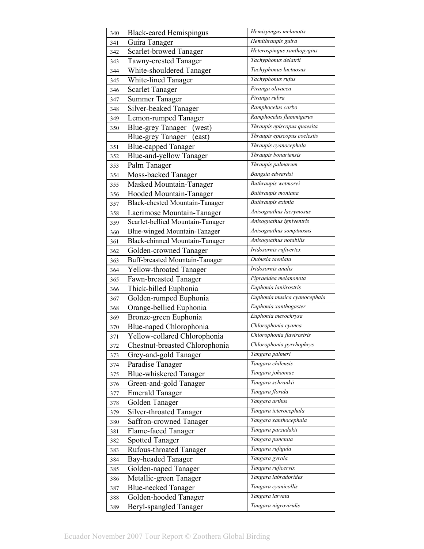| 340 | <b>Black-eared Hemispingus</b>        | Hemispingus melanotis        |
|-----|---------------------------------------|------------------------------|
| 341 | Guira Tanager                         | Hemithraupis guira           |
| 342 | Scarlet-browed Tanager                | Heterospingus xanthopygius   |
| 343 | <b>Tawny-crested Tanager</b>          | Tachyphonus delatrii         |
| 344 | White-shouldered Tanager              | Tachyphonus luctuosus        |
| 345 | White-lined Tanager                   | Tachyphonus rufus            |
| 346 | <b>Scarlet Tanager</b>                | Piranga olivacea             |
| 347 | <b>Summer Tanager</b>                 | Piranga rubra                |
| 348 | Silver-beaked Tanager                 | Ramphocelus carbo            |
| 349 | Lemon-rumped Tanager                  | Ramphocelus flammigerus      |
| 350 | <b>Blue-grey Tanager</b><br>(west)    | Thraupis episcopus quaesita  |
|     | <b>Blue-grey Tanager</b><br>east)     | Thraupis episcopus coelestis |
| 351 | <b>Blue-capped Tanager</b>            | Thraupis cyanocephala        |
| 352 | Blue-and-yellow Tanager               | Thraupis bonariensis         |
| 353 | Palm Tanager                          | Thraupis palmarum            |
| 354 | Moss-backed Tanager                   | Bangsia edwardsi             |
| 355 | Masked Mountain-Tanager               | Buthraupis wetmorei          |
| 356 | Hooded Mountain-Tanager               | Buthraupis montana           |
| 357 | <b>Black-chested Mountain-Tanager</b> | Buthraupis eximia            |
| 358 | Lacrimose Mountain-Tanager            | Anisognathus lacrymosus      |
| 359 | Scarlet-bellied Mountain-Tanager      | Anisognathus igniventris     |
| 360 | Blue-winged Mountain-Tanager          | Anisognathus somptuosus      |
| 361 | <b>Black-chinned Mountain-Tanager</b> | Anisognathus notabilis       |
| 362 | Golden-crowned Tanager                | Iridosornis rufivertex       |
| 363 | Buff-breasted Mountain-Tanager        | Dubusia taeniata             |
| 364 | <b>Yellow-throated Tanager</b>        | Iridosornis analis           |
| 365 | Fawn-breasted Tanager                 | Pipraeidea melanonota        |
| 366 | Thick-billed Euphonia                 | Euphonia laniirostris        |
| 367 | Golden-rumped Euphonia                | Euphonia musica cyanocephala |
| 368 | Orange-bellied Euphonia               | Euphonia xanthogaster        |
| 369 | Bronze-green Euphonia                 | Euphonia mesochrysa          |
| 370 | Blue-naped Chlorophonia               | Chlorophonia cyanea          |
| 371 | Yellow-collared Chlorophonia          | Chlorophonia flavirostris    |
| 372 | Chestnut-breasted Chlorophonia        | Chlorophonia pyrrhophrys     |
| 373 | Grey-and-gold Tanager                 | Tangara palmeri              |
| 374 | Paradise Tanager                      | Tangara chilensis            |
| 375 | <b>Blue-whiskered Tanager</b>         | Tangara johannae             |
| 376 | Green-and-gold Tanager                | Tangara schrankii            |
| 377 | <b>Emerald Tanager</b>                | Tangara florida              |
| 378 | Golden Tanager                        | Tangara arthus               |
| 379 | Silver-throated Tanager               | Tangara icterocephala        |
| 380 | Saffron-crowned Tanager               | Tangara xanthocephala        |
| 381 | Flame-faced Tanager                   | Tangara parzudakii           |
| 382 | <b>Spotted Tanager</b>                | Tangara punctata             |
| 383 | Rufous-throated Tanager               | Tangara rufigula             |
| 384 | <b>Bay-headed Tanager</b>             | Tangara gyrola               |
|     | Golden-naped Tanager                  | Tangara ruficervix           |
| 385 | Metallic-green Tanager                | Tangara labradorides         |
| 386 | <b>Blue-necked Tanager</b>            | Tangara cyanicollis          |
| 387 |                                       | Tangara larvata              |
| 388 | Golden-hooded Tanager                 | Tangara nigroviridis         |
| 389 | Beryl-spangled Tanager                |                              |